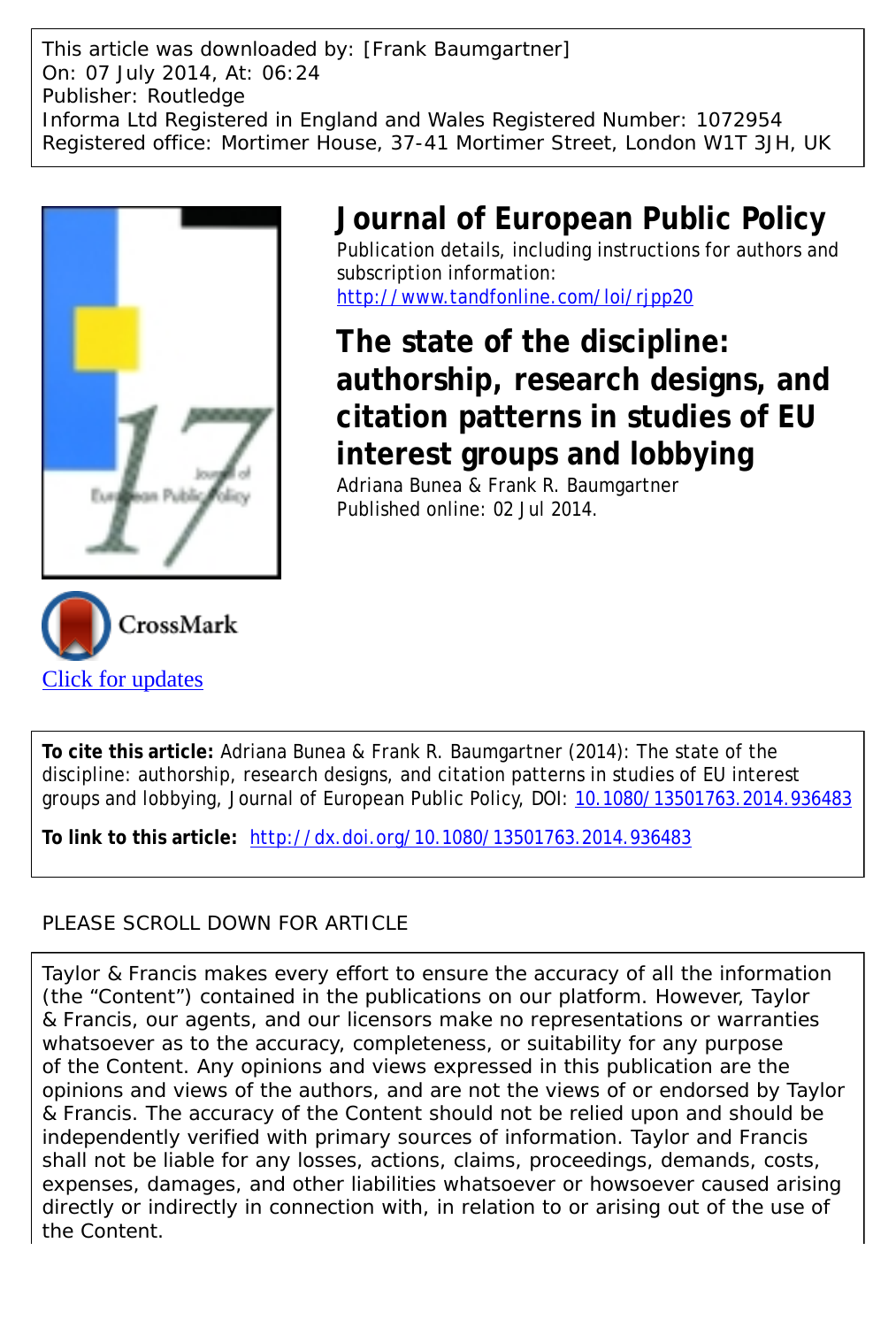This article was downloaded by: [Frank Baumgartner] On: 07 July 2014, At: 06:24 Publisher: Routledge Informa Ltd Registered in England and Wales Registered Number: 1072954 Registered office: Mortimer House, 37-41 Mortimer Street, London W1T 3JH, UK



**Journal of European Public Policy**

Publication details, including instructions for authors and subscription information: <http://www.tandfonline.com/loi/rjpp20>

**The state of the discipline: authorship, research designs, and citation patterns in studies of EU interest groups and lobbying**

Adriana Bunea & Frank R. Baumgartner Published online: 02 Jul 2014.



**To cite this article:** Adriana Bunea & Frank R. Baumgartner (2014): The state of the discipline: authorship, research designs, and citation patterns in studies of EU interest groups and lobbying, Journal of European Public Policy, DOI: [10.1080/13501763.2014.936483](http://www.tandfonline.com/action/showCitFormats?doi=10.1080/13501763.2014.936483)

**To link to this article:** <http://dx.doi.org/10.1080/13501763.2014.936483>

# PLEASE SCROLL DOWN FOR ARTICLE

Taylor & Francis makes every effort to ensure the accuracy of all the information (the "Content") contained in the publications on our platform. However, Taylor & Francis, our agents, and our licensors make no representations or warranties whatsoever as to the accuracy, completeness, or suitability for any purpose of the Content. Any opinions and views expressed in this publication are the opinions and views of the authors, and are not the views of or endorsed by Taylor & Francis. The accuracy of the Content should not be relied upon and should be independently verified with primary sources of information. Taylor and Francis shall not be liable for any losses, actions, claims, proceedings, demands, costs, expenses, damages, and other liabilities whatsoever or howsoever caused arising directly or indirectly in connection with, in relation to or arising out of the use of the Content.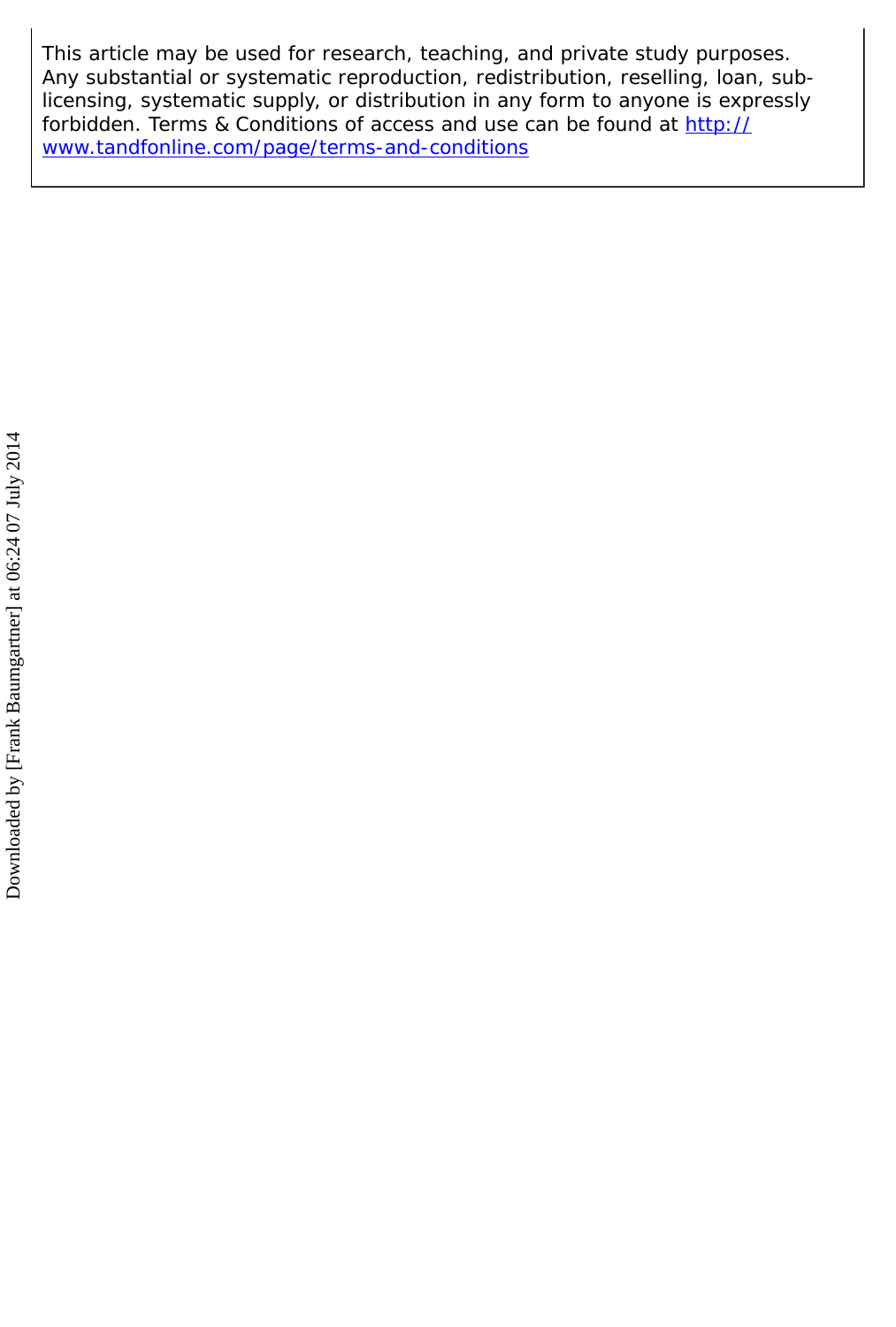This article may be used for research, teaching, and private study purposes. Any substantial or systematic reproduction, redistribution, reselling, loan, sublicensing, systematic supply, or distribution in any form to anyone is expressly forbidden. Terms & Conditions of access and use can be found at [http://](http://www.tandfonline.com/page/terms-and-conditions) [www.tandfonline.com/page/terms-and-conditions](http://www.tandfonline.com/page/terms-and-conditions)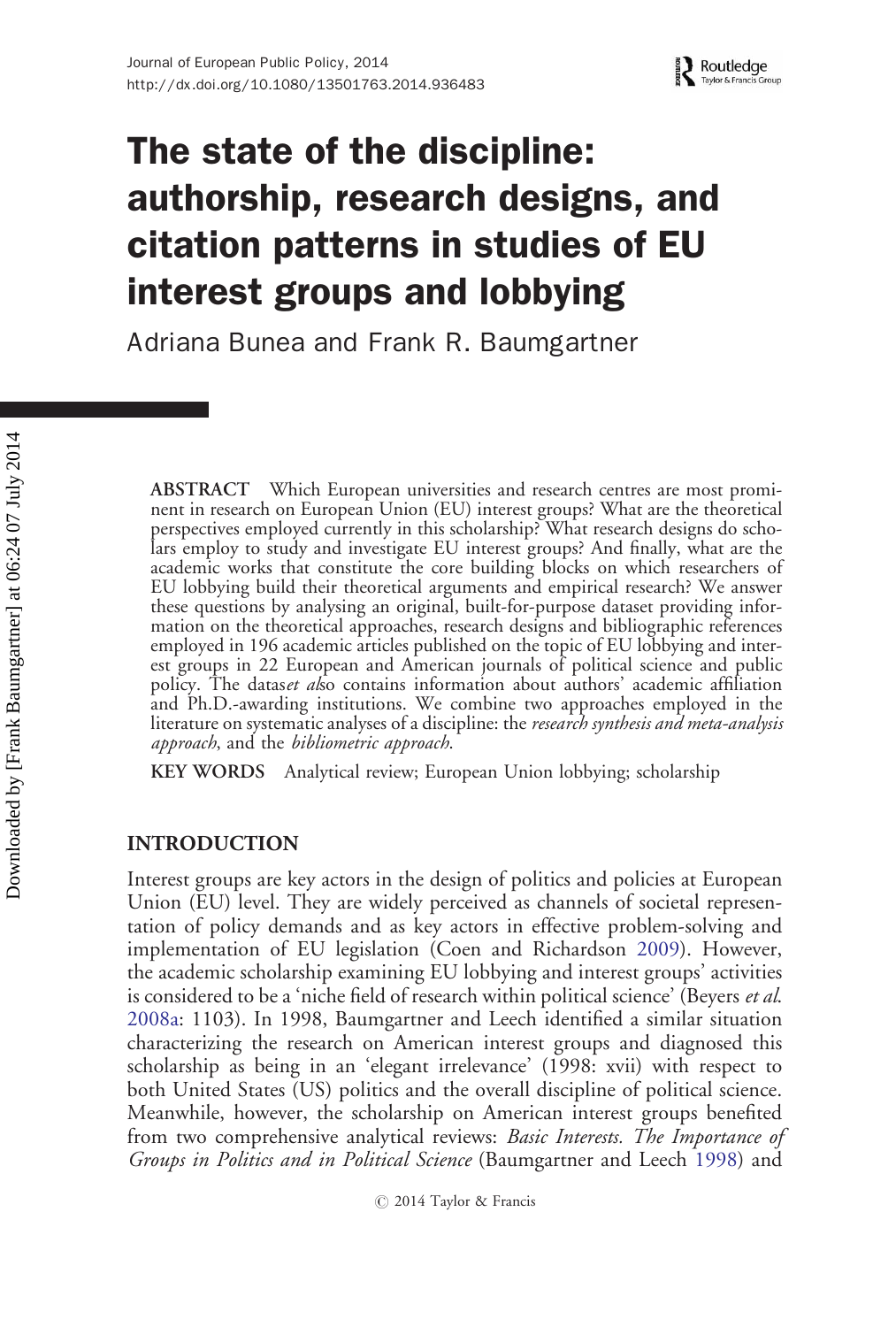# The state of the discipline: authorship, research designs, and citation patterns in studies of EU interest groups and lobbying

Adriana Bunea and Frank R. Baumgartner

ABSTRACT Which European universities and research centres are most prominent in research on European Union (EU) interest groups? What are the theoretical perspectives employed currently in this scholarship? What research designs do scholars employ to study and investigate EU interest groups? And finally, what are the academic works that constitute the core building blocks on which researchers of EU lobbying build their theoretical arguments and empirical research? We answer these questions by analysing an original, built-for-purpose dataset providing information on the theoretical approaches, research designs and bibliographic references employed in 196 academic articles published on the topic of EU lobbying and interest groups in 22 European and American journals of political science and public policy. The dataset also contains information about authors' academic affiliation and Ph.D.-awarding institutions. We combine two approaches employed in the literature on systematic analyses of a discipline: the research synthesis and meta-analysis approach, and the bibliometric approach.

KEY WORDS Analytical review; European Union lobbying; scholarship

# INTRODUCTION

Interest groups are key actors in the design of politics and policies at European Union (EU) level. They are widely perceived as channels of societal representation of policy demands and as key actors in effective problem-solving and implementation of EU legislation (Coen and Richardson [2009](#page-23-0)). However, the academic scholarship examining EU lobbying and interest groups' activities is considered to be a 'niche field of research within political science' (Beyers *et al.*) [2008a:](#page-23-0) 1103). In 1998, Baumgartner and Leech identified a similar situation characterizing the research on American interest groups and diagnosed this scholarship as being in an 'elegant irrelevance' (1998: xvii) with respect to both United States (US) politics and the overall discipline of political science. Meanwhile, however, the scholarship on American interest groups benefited from two comprehensive analytical reviews: Basic Interests. The Importance of Groups in Politics and in Political Science (Baumgartner and Leech [1998](#page-23-0)) and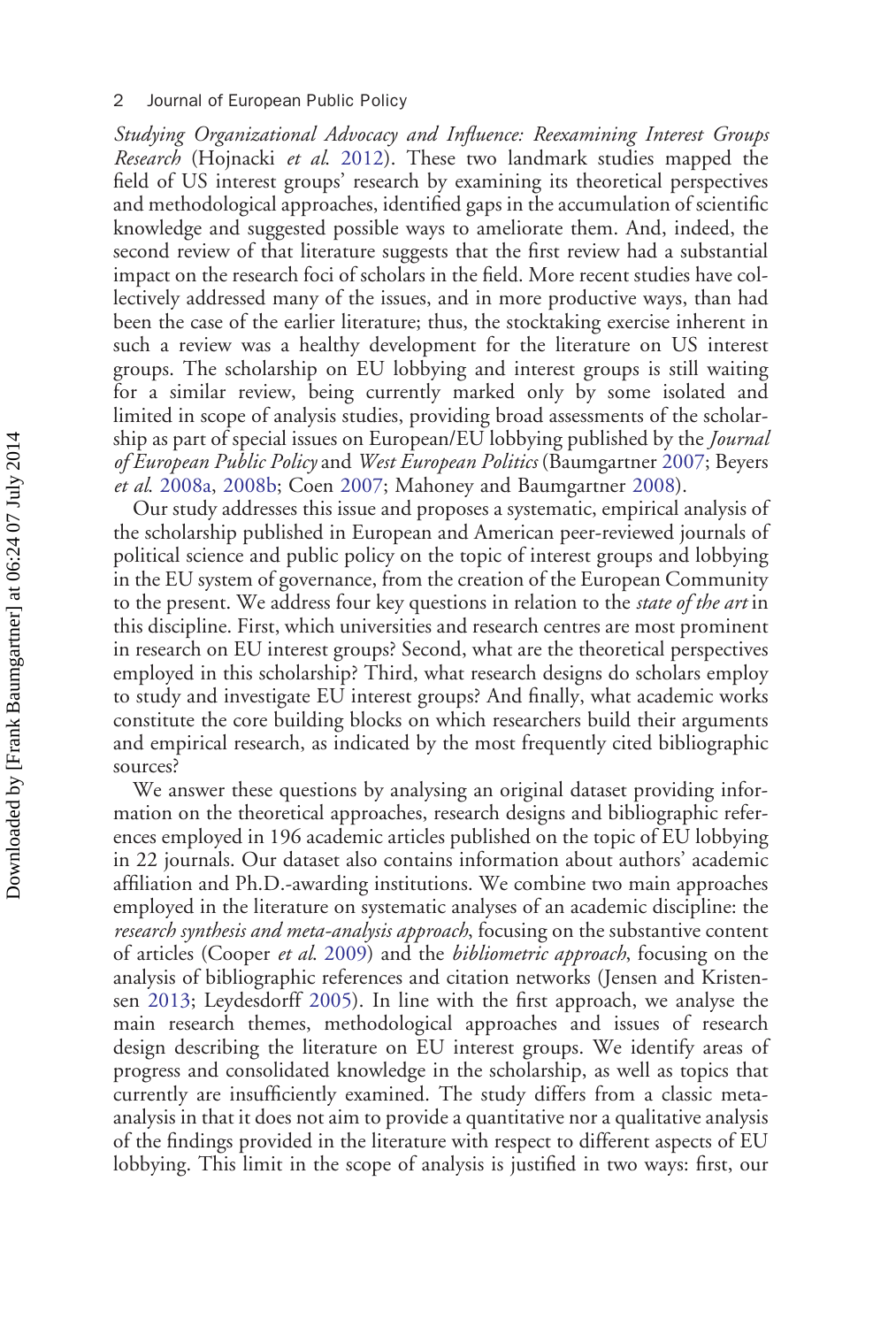#### 2 Journal of European Public Policy

Studying Organizational Advocacy and Influence: Reexamining Interest Groups Research (Hojnacki et al. [2012\)](#page-23-0). These two landmark studies mapped the field of US interest groups' research by examining its theoretical perspectives and methodological approaches, identified gaps in the accumulation of scientific knowledge and suggested possible ways to ameliorate them. And, indeed, the second review of that literature suggests that the first review had a substantial impact on the research foci of scholars in the field. More recent studies have collectively addressed many of the issues, and in more productive ways, than had been the case of the earlier literature; thus, the stocktaking exercise inherent in such a review was a healthy development for the literature on US interest groups. The scholarship on EU lobbying and interest groups is still waiting for a similar review, being currently marked only by some isolated and limited in scope of analysis studies, providing broad assessments of the scholarship as part of special issues on European/EU lobbying published by the *Journal* of European Public Policy and West European Politics (Baumgartner [2007](#page-23-0); Beyers et al. [2008a](#page-23-0), [2008b;](#page-23-0) Coen [2007](#page-23-0); Mahoney and Baumgartner [2008](#page-24-0)).

Our study addresses this issue and proposes a systematic, empirical analysis of the scholarship published in European and American peer-reviewed journals of political science and public policy on the topic of interest groups and lobbying in the EU system of governance, from the creation of the European Community to the present. We address four key questions in relation to the *state of the art* in this discipline. First, which universities and research centres are most prominent in research on EU interest groups? Second, what are the theoretical perspectives employed in this scholarship? Third, what research designs do scholars employ to study and investigate EU interest groups? And finally, what academic works constitute the core building blocks on which researchers build their arguments and empirical research, as indicated by the most frequently cited bibliographic sources?

We answer these questions by analysing an original dataset providing information on the theoretical approaches, research designs and bibliographic references employed in 196 academic articles published on the topic of EU lobbying in 22 journals. Our dataset also contains information about authors' academic affiliation and Ph.D.-awarding institutions. We combine two main approaches employed in the literature on systematic analyses of an academic discipline: the research synthesis and meta-analysis approach, focusing on the substantive content of articles (Cooper et al. [2009](#page-23-0)) and the bibliometric approach, focusing on the analysis of bibliographic references and citation networks (Jensen and Kristensen [2013;](#page-23-0) Leydesdorff [2005](#page-24-0)). In line with the first approach, we analyse the main research themes, methodological approaches and issues of research design describing the literature on EU interest groups. We identify areas of progress and consolidated knowledge in the scholarship, as well as topics that currently are insufficiently examined. The study differs from a classic metaanalysis in that it does not aim to provide a quantitative nor a qualitative analysis of the findings provided in the literature with respect to different aspects of EU lobbying. This limit in the scope of analysis is justified in two ways: first, our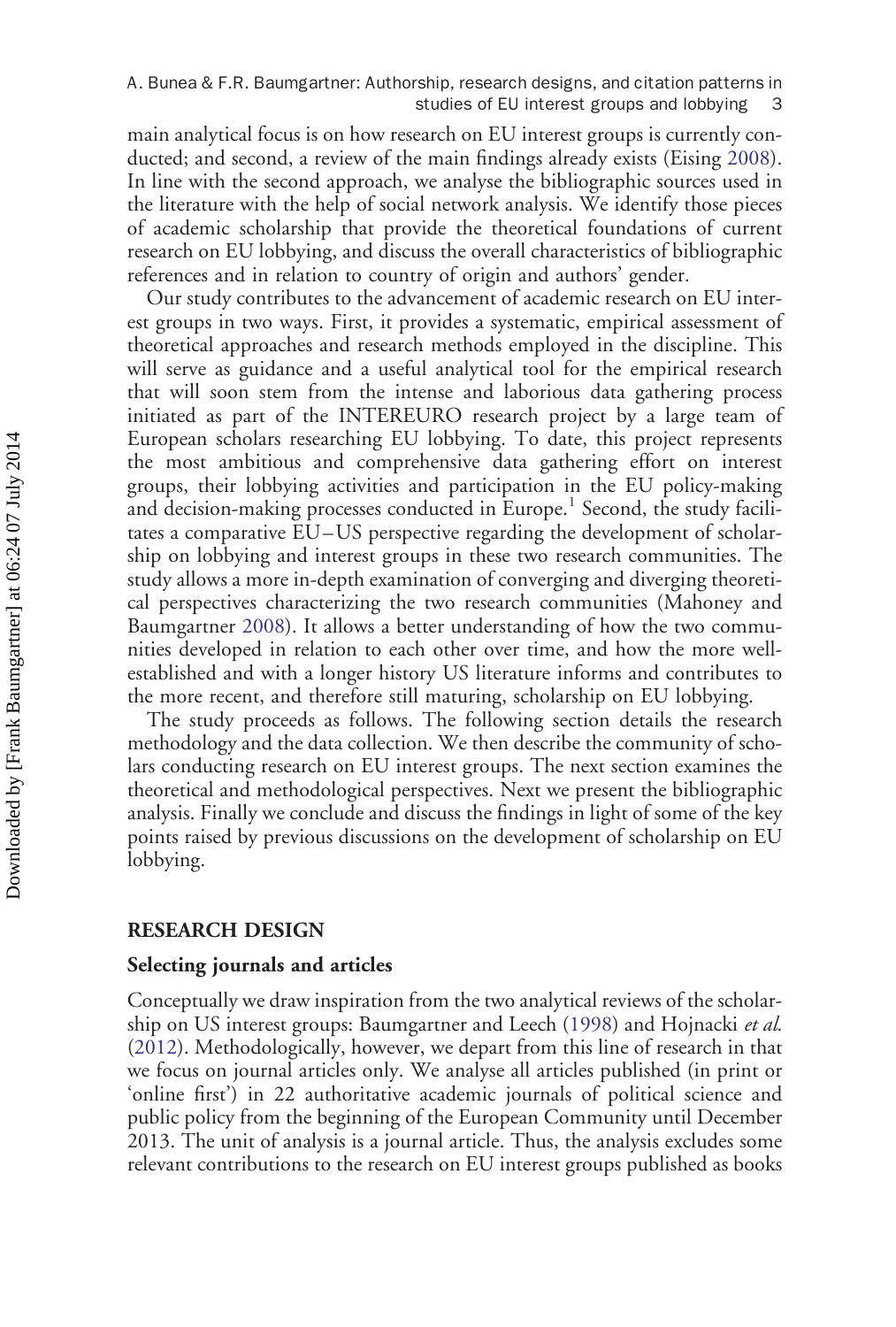A. Bunea & F.R. Baumgartner: Authorship, research designs, and citation patterns in studies of EU interest groups and lobbying 3

main analytical focus is on how research on EU interest groups is currently conducted; and second, a review of the main findings already exists (Eising [2008\)](#page-23-0). In line with the second approach, we analyse the bibliographic sources used in the literature with the help of social network analysis. We identify those pieces of academic scholarship that provide the theoretical foundations of current research on EU lobbying, and discuss the overall characteristics of bibliographic references and in relation to country of origin and authors' gender.

Our study contributes to the advancement of academic research on EU interest groups in two ways. First, it provides a systematic, empirical assessment of theoretical approaches and research methods employed in the discipline. This will serve as guidance and a useful analytical tool for the empirical research that will soon stem from the intense and laborious data gathering process initiated as part of the INTEREURO research project by a large team of European scholars researching EU lobbying. To date, this project represents the most ambitious and comprehensive data gathering effort on interest groups, their lobbying activities and participation in the EU policy-making and decision-making processes conducted in Europe.<sup>[1](#page-22-0)</sup> Second, the study facilitates a comparative EU–US perspective regarding the development of scholarship on lobbying and interest groups in these two research communities. The study allows a more in-depth examination of converging and diverging theoretical perspectives characterizing the two research communities (Mahoney and Baumgartner [2008](#page-24-0)). It allows a better understanding of how the two communities developed in relation to each other over time, and how the more wellestablished and with a longer history US literature informs and contributes to the more recent, and therefore still maturing, scholarship on EU lobbying.

The study proceeds as follows. The following section details the research methodology and the data collection. We then describe the community of scholars conducting research on EU interest groups. The next section examines the theoretical and methodological perspectives. Next we present the bibliographic analysis. Finally we conclude and discuss the findings in light of some of the key points raised by previous discussions on the development of scholarship on EU lobbying.

#### RESEARCH DESIGN

#### Selecting journals and articles

Conceptually we draw inspiration from the two analytical reviews of the scholar-ship on US interest groups: Baumgartner and Leech ([1998\)](#page-23-0) and Hojnacki et al. ([2012\)](#page-23-0). Methodologically, however, we depart from this line of research in that we focus on journal articles only. We analyse all articles published (in print or 'online first') in 22 authoritative academic journals of political science and public policy from the beginning of the European Community until December 2013. The unit of analysis is a journal article. Thus, the analysis excludes some relevant contributions to the research on EU interest groups published as books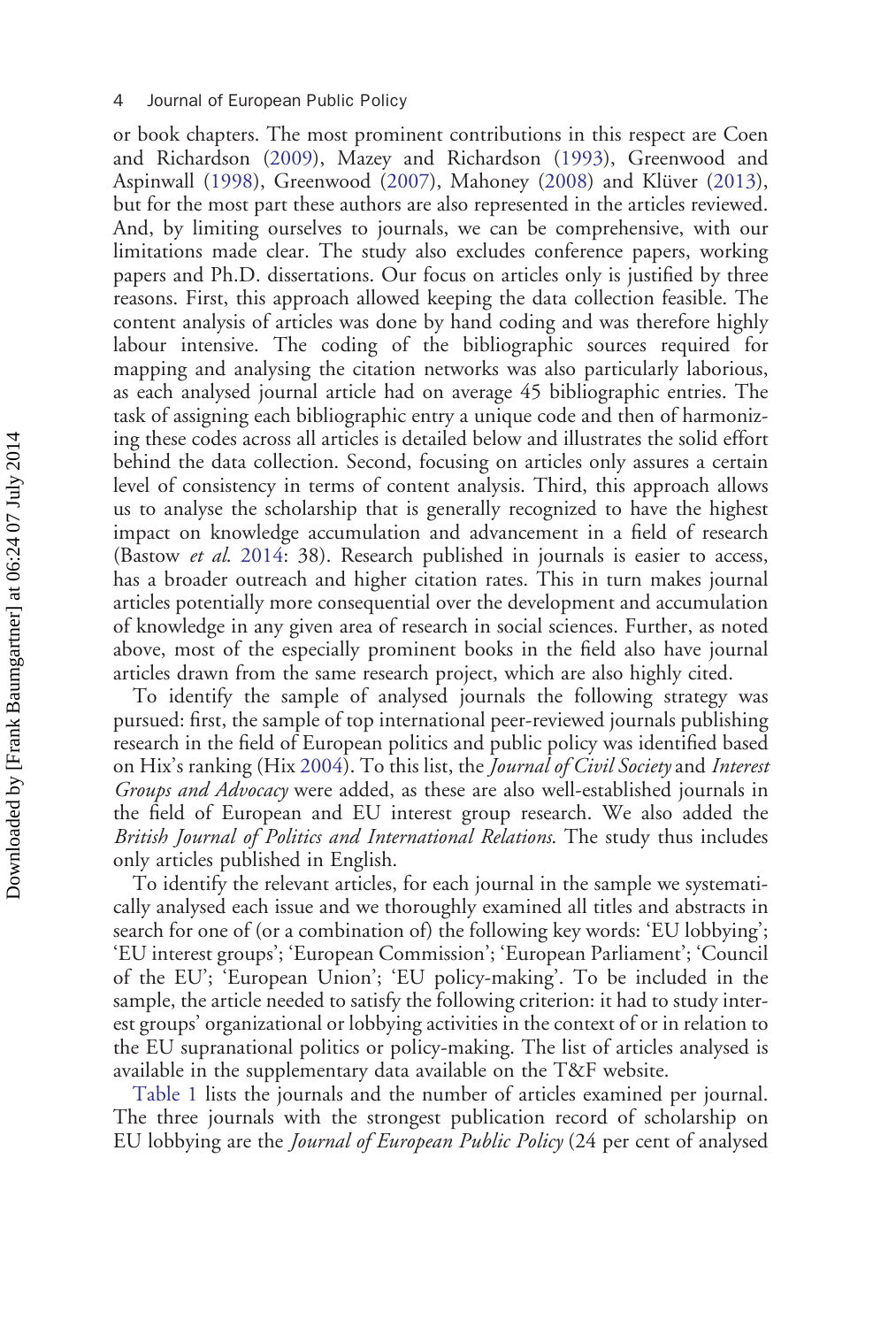or book chapters. The most prominent contributions in this respect are Coen and Richardson [\(2009](#page-23-0)), Mazey and Richardson [\(1993](#page-24-0)), Greenwood and Aspinwall ([1998\)](#page-23-0), Greenwood [\(2007](#page-23-0)), Mahoney [\(2008](#page-24-0)) and Klüver ([2013\)](#page-24-0), but for the most part these authors are also represented in the articles reviewed. And, by limiting ourselves to journals, we can be comprehensive, with our limitations made clear. The study also excludes conference papers, working papers and Ph.D. dissertations. Our focus on articles only is justified by three reasons. First, this approach allowed keeping the data collection feasible. The content analysis of articles was done by hand coding and was therefore highly labour intensive. The coding of the bibliographic sources required for mapping and analysing the citation networks was also particularly laborious, as each analysed journal article had on average 45 bibliographic entries. The task of assigning each bibliographic entry a unique code and then of harmonizing these codes across all articles is detailed below and illustrates the solid effort behind the data collection. Second, focusing on articles only assures a certain level of consistency in terms of content analysis. Third, this approach allows us to analyse the scholarship that is generally recognized to have the highest impact on knowledge accumulation and advancement in a field of research (Bastow *et al.* [2014](#page-23-0): 38). Research published in journals is easier to access, has a broader outreach and higher citation rates. This in turn makes journal articles potentially more consequential over the development and accumulation of knowledge in any given area of research in social sciences. Further, as noted above, most of the especially prominent books in the field also have journal articles drawn from the same research project, which are also highly cited.

To identify the sample of analysed journals the following strategy was pursued: first, the sample of top international peer-reviewed journals publishing research in the field of European politics and public policy was identified based on Hix's ranking (Hix [2004\)](#page-23-0). To this list, the *Journal of Civil Society* and *Interest* Groups and Advocacy were added, as these are also well-established journals in the field of European and EU interest group research. We also added the British Journal of Politics and International Relations. The study thus includes only articles published in English.

To identify the relevant articles, for each journal in the sample we systematically analysed each issue and we thoroughly examined all titles and abstracts in search for one of (or a combination of) the following key words: 'EU lobbying'; 'EU interest groups'; 'European Commission'; 'European Parliament'; 'Council of the EU'; 'European Union'; 'EU policy-making'. To be included in the sample, the article needed to satisfy the following criterion: it had to study interest groups' organizational or lobbying activities in the context of or in relation to the EU supranational politics or policy-making. The list of articles analysed is available in the supplementary data available on the T&F website.

[Table 1](#page-6-0) lists the journals and the number of articles examined per journal. The three journals with the strongest publication record of scholarship on EU lobbying are the Journal of European Public Policy (24 per cent of analysed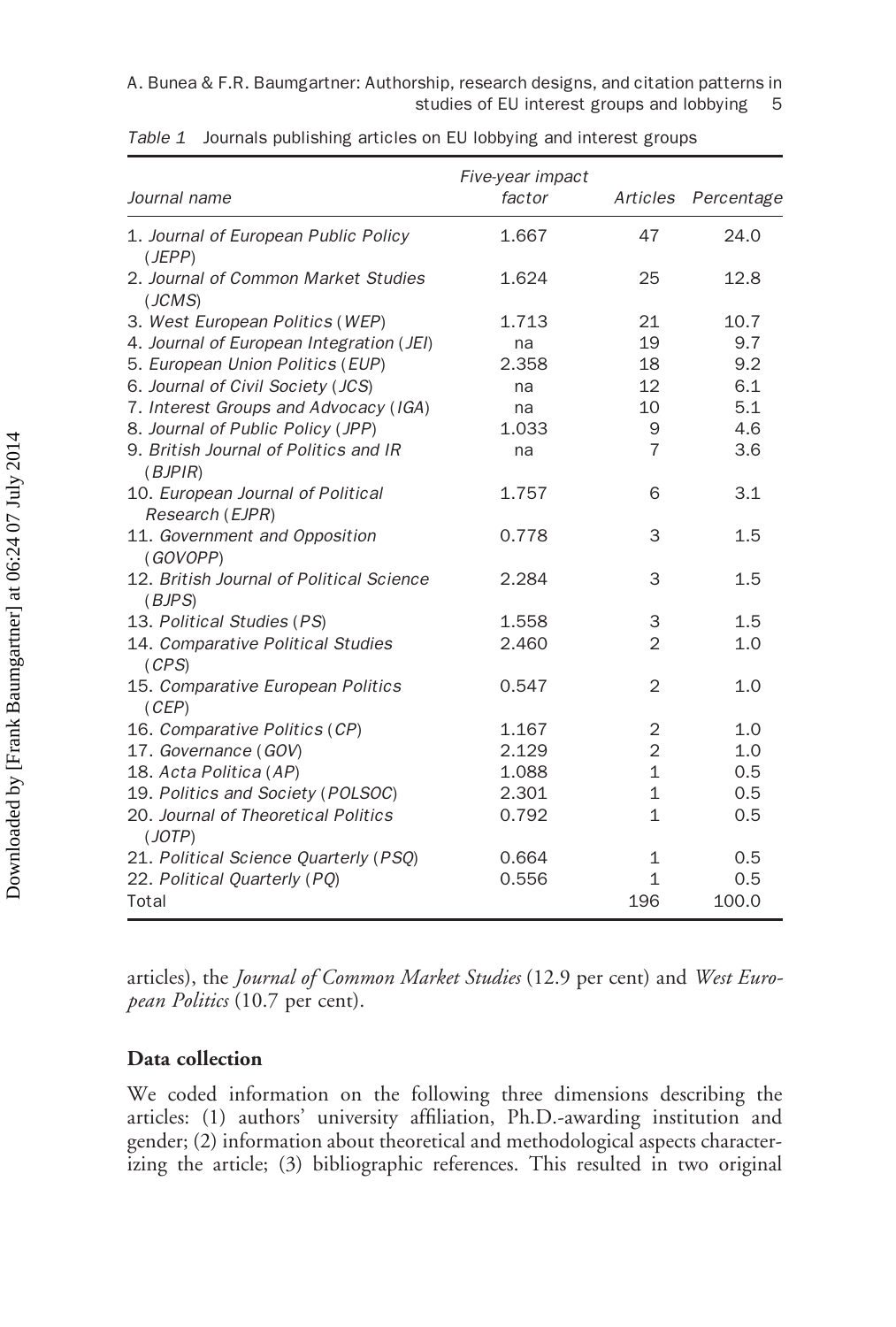|                                                      | Five-year impact |                |            |
|------------------------------------------------------|------------------|----------------|------------|
| Journal name                                         | factor           | Articles       | Percentage |
| 1. Journal of European Public Policy<br>(JEPP)       | 1.667            | 47             | 24.0       |
| 2. Journal of Common Market Studies<br>(JCMS)        | 1.624            | 25             | 12.8       |
| 3. West European Politics (WEP)                      | 1.713            | 21             | 10.7       |
| 4. Journal of European Integration (JEI)             | na               | 19             | 9.7        |
| 5. European Union Politics (EUP)                     | 2.358            | 18             | 9.2        |
| 6. Journal of Civil Society (JCS)                    | na               | 12             | 6.1        |
| 7. Interest Groups and Advocacy (IGA)                | na               | 10             | 5.1        |
| 8. Journal of Public Policy (JPP)                    | 1.033            | 9              | 4.6        |
| 9. British Journal of Politics and IR<br>(BJPIR)     | na               | $\overline{7}$ | 3.6        |
| 10. European Journal of Political<br>Research (EJPR) | 1.757            | 6              | 3.1        |
| 11. Government and Opposition<br>(GOVOPP)            | 0.778            | 3              | 1.5        |
| 12. British Journal of Political Science<br>(BJPS)   | 2.284            | 3              | 1.5        |
| 13. Political Studies (PS)                           | 1.558            | 3              | 1.5        |
| 14. Comparative Political Studies<br>(CPS)           | 2.460            | $\overline{2}$ | 1.0        |
| 15. Comparative European Politics<br>(CEP)           | 0.547            | $\overline{2}$ | 1.0        |
| 16. Comparative Politics (CP)                        | 1.167            | 2              | 1.0        |
| 17. Governance (GOV)                                 | 2.129            | $\overline{2}$ | 1.0        |
| 18. Acta Politica (AP)                               | 1.088            | 1              | 0.5        |
| 19. Politics and Society (POLSOC)                    | 2.301            | $\mathbf{1}$   | 0.5        |
| 20. Journal of Theoretical Politics<br>(JOTP)        | 0.792            | $\mathbf{1}$   | 0.5        |
| 21. Political Science Quarterly (PSQ)                | 0.664            | 1              | 0.5        |
| 22. Political Quarterly (PQ)                         | 0.556            | $\mathbf{1}$   | 0.5        |
| Total                                                |                  | 196            | 100.0      |

<span id="page-6-0"></span>Table 1 Journals publishing articles on EU lobbying and interest groups

articles), the Journal of Common Market Studies (12.9 per cent) and West European Politics (10.7 per cent).

# Data collection

We coded information on the following three dimensions describing the articles: (1) authors' university affiliation, Ph.D.-awarding institution and gender; (2) information about theoretical and methodological aspects characterizing the article; (3) bibliographic references. This resulted in two original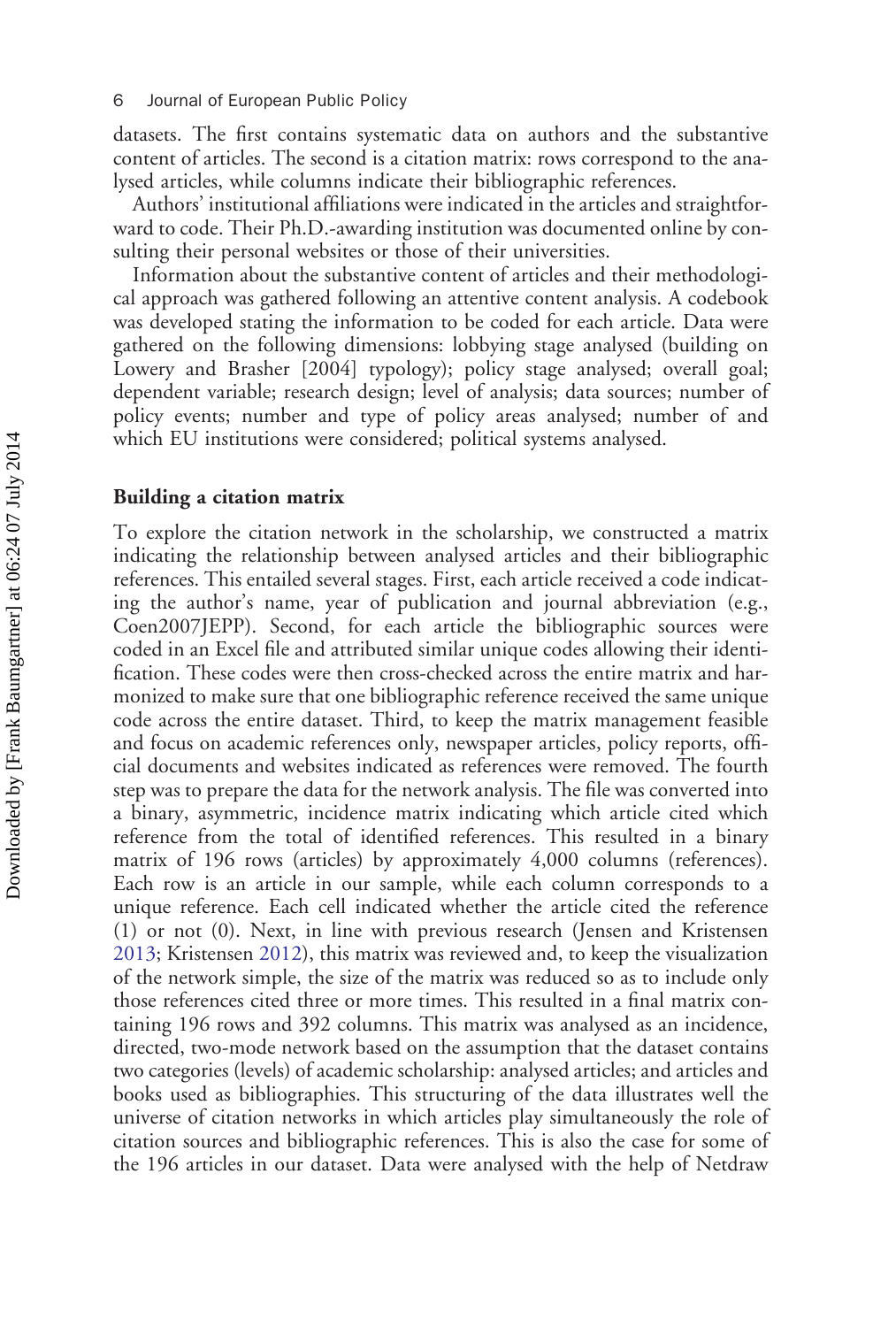datasets. The first contains systematic data on authors and the substantive content of articles. The second is a citation matrix: rows correspond to the analysed articles, while columns indicate their bibliographic references.

Authors' institutional affiliations were indicated in the articles and straightforward to code. Their Ph.D.-awarding institution was documented online by consulting their personal websites or those of their universities.

Information about the substantive content of articles and their methodological approach was gathered following an attentive content analysis. A codebook was developed stating the information to be coded for each article. Data were gathered on the following dimensions: lobbying stage analysed (building on Lowery and Brasher [2004] typology); policy stage analysed; overall goal; dependent variable; research design; level of analysis; data sources; number of policy events; number and type of policy areas analysed; number of and which EU institutions were considered; political systems analysed.

### Building a citation matrix

To explore the citation network in the scholarship, we constructed a matrix indicating the relationship between analysed articles and their bibliographic references. This entailed several stages. First, each article received a code indicating the author's name, year of publication and journal abbreviation (e.g., Coen2007JEPP). Second, for each article the bibliographic sources were coded in an Excel file and attributed similar unique codes allowing their identification. These codes were then cross-checked across the entire matrix and harmonized to make sure that one bibliographic reference received the same unique code across the entire dataset. Third, to keep the matrix management feasible and focus on academic references only, newspaper articles, policy reports, official documents and websites indicated as references were removed. The fourth step was to prepare the data for the network analysis. The file was converted into a binary, asymmetric, incidence matrix indicating which article cited which reference from the total of identified references. This resulted in a binary matrix of 196 rows (articles) by approximately 4,000 columns (references). Each row is an article in our sample, while each column corresponds to a unique reference. Each cell indicated whether the article cited the reference (1) or not (0). Next, in line with previous research (Jensen and Kristensen [2013;](#page-23-0) Kristensen [2012\)](#page-24-0), this matrix was reviewed and, to keep the visualization of the network simple, the size of the matrix was reduced so as to include only those references cited three or more times. This resulted in a final matrix containing 196 rows and 392 columns. This matrix was analysed as an incidence, directed, two-mode network based on the assumption that the dataset contains two categories (levels) of academic scholarship: analysed articles; and articles and books used as bibliographies. This structuring of the data illustrates well the universe of citation networks in which articles play simultaneously the role of citation sources and bibliographic references. This is also the case for some of the 196 articles in our dataset. Data were analysed with the help of Netdraw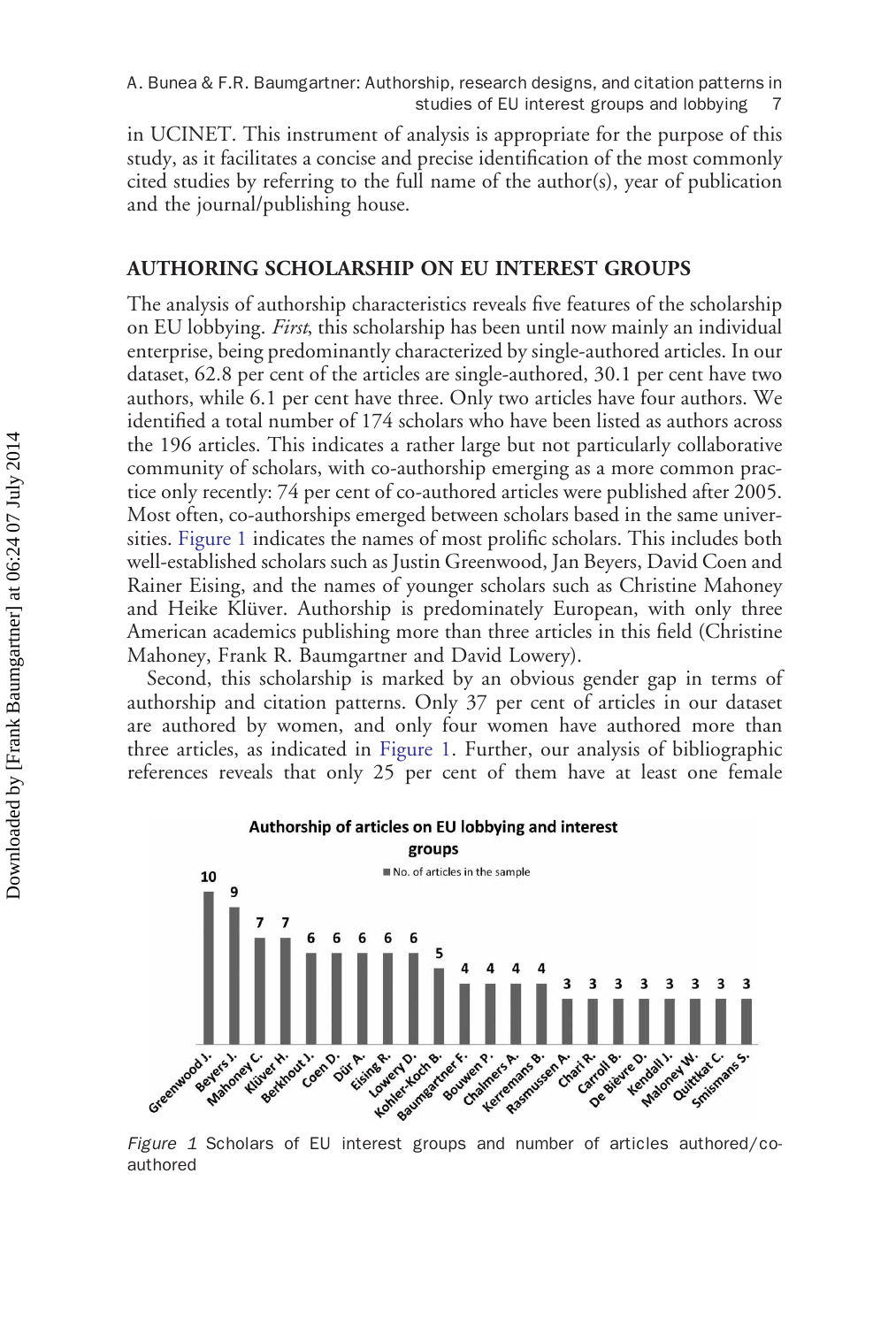in UCINET. This instrument of analysis is appropriate for the purpose of this study, as it facilitates a concise and precise identification of the most commonly cited studies by referring to the full name of the author(s), year of publication and the journal/publishing house.

# AUTHORING SCHOLARSHIP ON EU INTEREST GROUPS

The analysis of authorship characteristics reveals five features of the scholarship on EU lobbying. First, this scholarship has been until now mainly an individual enterprise, being predominantly characterized by single-authored articles. In our dataset, 62.8 per cent of the articles are single-authored, 30.1 per cent have two authors, while 6.1 per cent have three. Only two articles have four authors. We identified a total number of 174 scholars who have been listed as authors across the 196 articles. This indicates a rather large but not particularly collaborative community of scholars, with co-authorship emerging as a more common practice only recently: 74 per cent of co-authored articles were published after 2005. Most often, co-authorships emerged between scholars based in the same universities. Figure 1 indicates the names of most prolific scholars. This includes both well-established scholars such as Justin Greenwood, Jan Beyers, David Coen and Rainer Eising, and the names of younger scholars such as Christine Mahoney and Heike Klüver. Authorship is predominately European, with only three American academics publishing more than three articles in this field (Christine Mahoney, Frank R. Baumgartner and David Lowery).

Second, this scholarship is marked by an obvious gender gap in terms of authorship and citation patterns. Only 37 per cent of articles in our dataset are authored by women, and only four women have authored more than three articles, as indicated in Figure 1. Further, our analysis of bibliographic references reveals that only 25 per cent of them have at least one female



Figure 1 Scholars of EU interest groups and number of articles authored/coauthored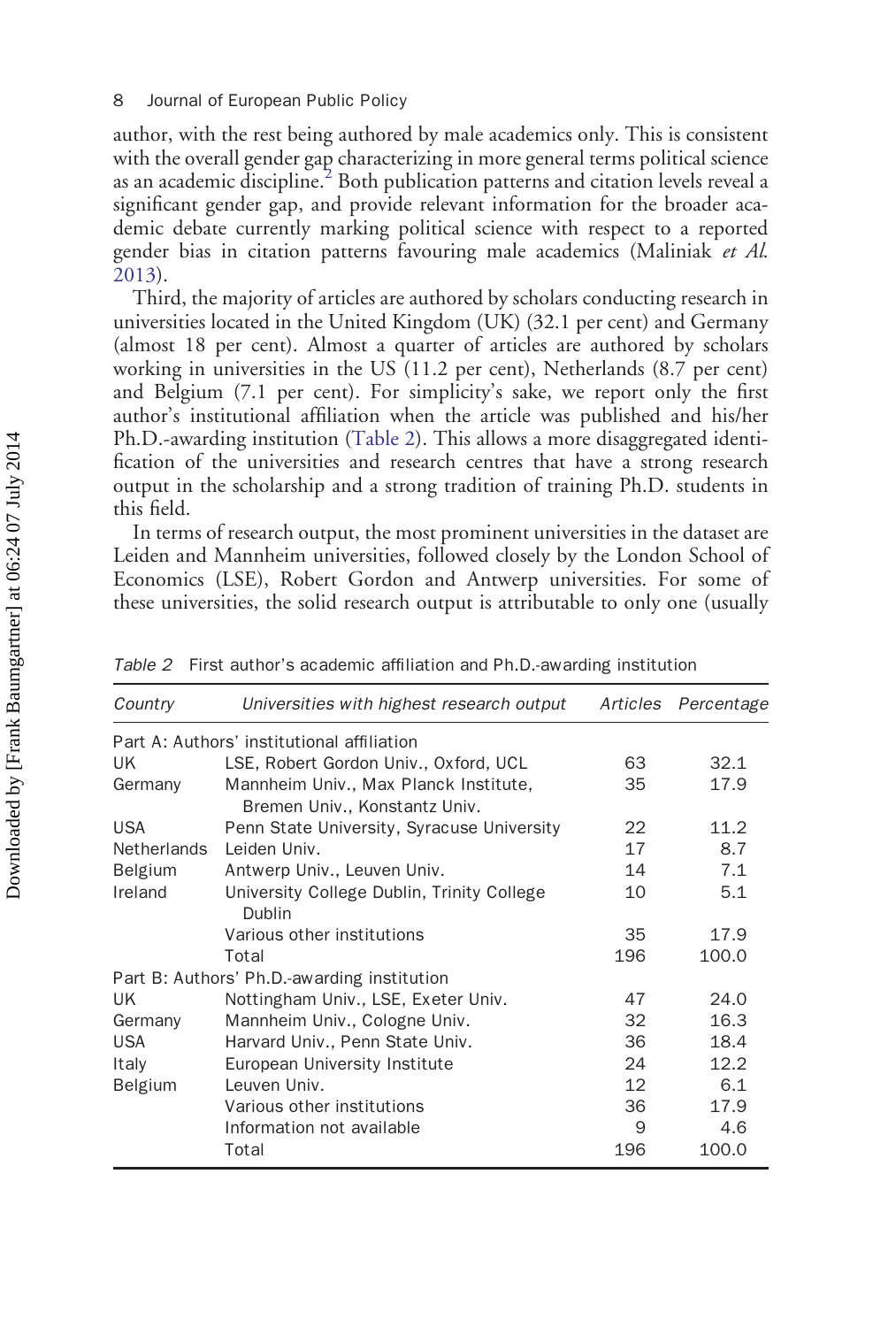<span id="page-9-0"></span>author, with the rest being authored by male academics only. This is consistent with the overall gender gap characterizing in more general terms political science as an academic discipline.<sup>[2](#page-23-0)</sup> Both publication patterns and citation levels reveal a significant gender gap, and provide relevant information for the broader academic debate currently marking political science with respect to a reported gender bias in citation patterns favouring male academics (Maliniak et Al. [2013\)](#page-24-0).

Third, the majority of articles are authored by scholars conducting research in universities located in the United Kingdom (UK) (32.1 per cent) and Germany (almost 18 per cent). Almost a quarter of articles are authored by scholars working in universities in the US (11.2 per cent), Netherlands (8.7 per cent) and Belgium (7.1 per cent). For simplicity's sake, we report only the first author's institutional affiliation when the article was published and his/her Ph.D.-awarding institution (Table 2). This allows a more disaggregated identification of the universities and research centres that have a strong research output in the scholarship and a strong tradition of training Ph.D. students in this field.

In terms of research output, the most prominent universities in the dataset are Leiden and Mannheim universities, followed closely by the London School of Economics (LSE), Robert Gordon and Antwerp universities. For some of these universities, the solid research output is attributable to only one (usually

| Country            | Universities with highest research output                              |     | Articles Percentage |
|--------------------|------------------------------------------------------------------------|-----|---------------------|
|                    | Part A: Authors' institutional affiliation                             |     |                     |
| UK                 | LSE, Robert Gordon Univ., Oxford, UCL                                  | 63  | 32.1                |
| Germany            | Mannheim Univ., Max Planck Institute,<br>Bremen Univ., Konstantz Univ. | 35  | 17.9                |
| <b>USA</b>         | Penn State University, Syracuse University                             | 22  | 11.2                |
| <b>Netherlands</b> | Leiden Univ.                                                           | 17  | 8.7                 |
| <b>Belgium</b>     | Antwerp Univ., Leuven Univ.                                            | 14  | 7.1                 |
| Ireland            | University College Dublin, Trinity College<br>Dublin                   | 10  | 5.1                 |
|                    | Various other institutions                                             | 35  | 17.9                |
|                    | Total                                                                  | 196 | 100.0               |
|                    | Part B: Authors' Ph.D.-awarding institution                            |     |                     |
| UK                 | Nottingham Univ., LSE, Exeter Univ.                                    | 47  | 24.0                |
| Germany            | Mannheim Univ., Cologne Univ.                                          | 32  | 16.3                |
| USA                | Harvard Univ., Penn State Univ.                                        | 36  | 18.4                |
| Italy              | European University Institute                                          | 24  | 12.2                |
| <b>Belgium</b>     | Leuven Univ.                                                           | 12  | 6.1                 |
|                    | Various other institutions                                             | 36  | 17.9                |
|                    | Information not available                                              | 9   | 4.6                 |
|                    | Total                                                                  | 196 | 100.0               |

Table 2 First author's academic affiliation and Ph.D.-awarding institution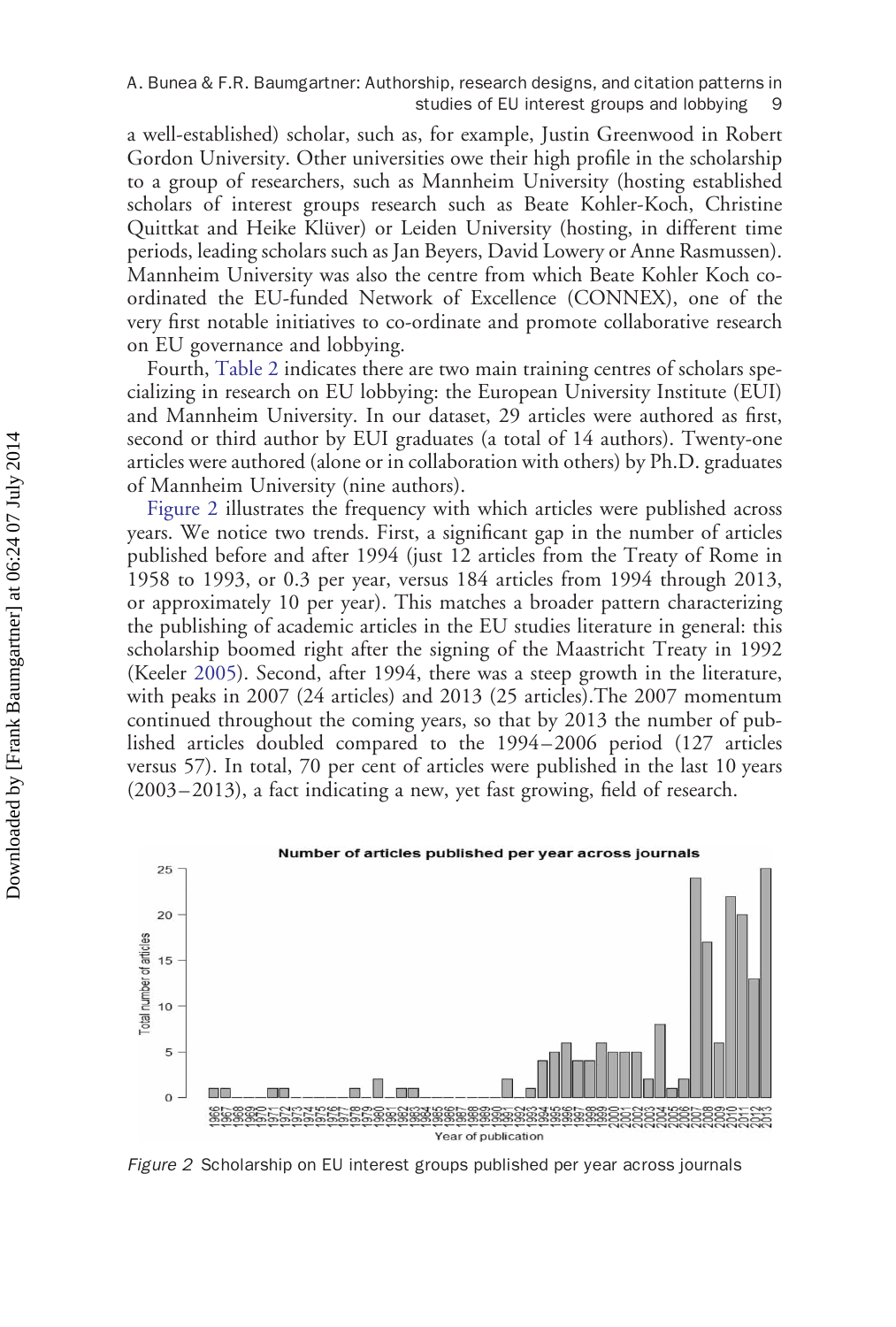a well-established) scholar, such as, for example, Justin Greenwood in Robert Gordon University. Other universities owe their high profile in the scholarship to a group of researchers, such as Mannheim University (hosting established scholars of interest groups research such as Beate Kohler-Koch, Christine Quittkat and Heike Klüver) or Leiden University (hosting, in different time periods, leading scholars such as Jan Beyers, David Lowery or Anne Rasmussen). Mannheim University was also the centre from which Beate Kohler Koch coordinated the EU-funded Network of Excellence (CONNEX), one of the very first notable initiatives to co-ordinate and promote collaborative research on EU governance and lobbying.

Fourth, [Table 2](#page-9-0) indicates there are two main training centres of scholars specializing in research on EU lobbying: the European University Institute (EUI) and Mannheim University. In our dataset, 29 articles were authored as first, second or third author by EUI graduates (a total of 14 authors). Twenty-one articles were authored (alone or in collaboration with others) by Ph.D. graduates of Mannheim University (nine authors).

Figure 2 illustrates the frequency with which articles were published across years. We notice two trends. First, a significant gap in the number of articles published before and after 1994 (just 12 articles from the Treaty of Rome in 1958 to 1993, or 0.3 per year, versus 184 articles from 1994 through 2013, or approximately 10 per year). This matches a broader pattern characterizing the publishing of academic articles in the EU studies literature in general: this scholarship boomed right after the signing of the Maastricht Treaty in 1992 (Keeler [2005](#page-24-0)). Second, after 1994, there was a steep growth in the literature, with peaks in 2007 (24 articles) and 2013 (25 articles).The 2007 momentum continued throughout the coming years, so that by 2013 the number of published articles doubled compared to the 1994 –2006 period (127 articles versus 57). In total, 70 per cent of articles were published in the last 10 years (2003 – 2013), a fact indicating a new, yet fast growing, field of research.



Figure 2 Scholarship on EU interest groups published per year across journals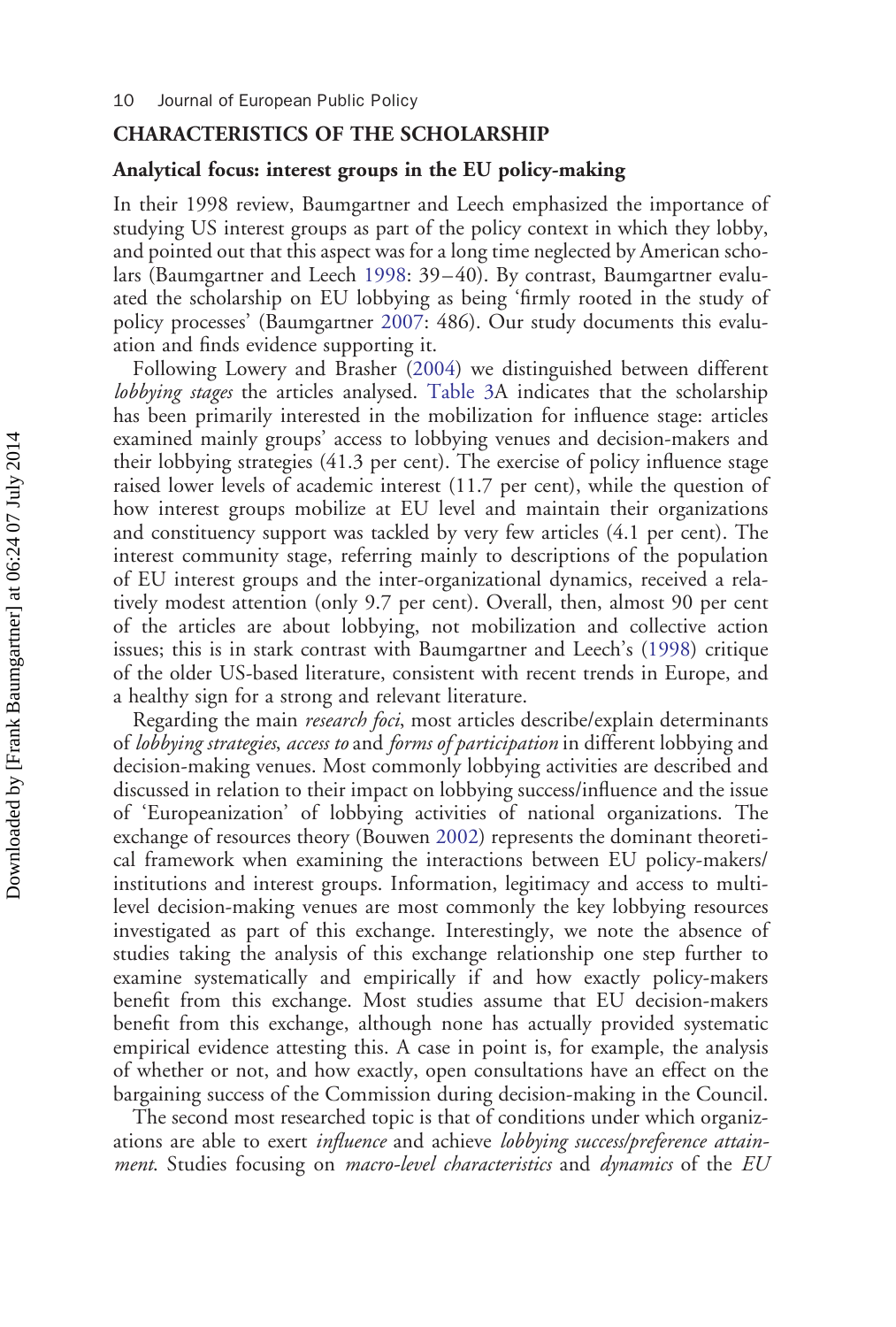## CHARACTERISTICS OF THE SCHOLARSHIP

# Analytical focus: interest groups in the EU policy-making

In their 1998 review, Baumgartner and Leech emphasized the importance of studying US interest groups as part of the policy context in which they lobby, and pointed out that this aspect was for a long time neglected by American scho-lars (Baumgartner and Leech [1998](#page-23-0): 39–40). By contrast, Baumgartner evaluated the scholarship on EU lobbying as being 'firmly rooted in the study of policy processes' (Baumgartner [2007](#page-23-0): 486). Our study documents this evaluation and finds evidence supporting it.

Following Lowery and Brasher ([2004\)](#page-24-0) we distinguished between different lobbying stages the articles analysed. [Table 3A](#page-12-0) indicates that the scholarship has been primarily interested in the mobilization for influence stage: articles examined mainly groups' access to lobbying venues and decision-makers and their lobbying strategies (41.3 per cent). The exercise of policy influence stage raised lower levels of academic interest (11.7 per cent), while the question of how interest groups mobilize at EU level and maintain their organizations and constituency support was tackled by very few articles (4.1 per cent). The interest community stage, referring mainly to descriptions of the population of EU interest groups and the inter-organizational dynamics, received a relatively modest attention (only 9.7 per cent). Overall, then, almost 90 per cent of the articles are about lobbying, not mobilization and collective action issues; this is in stark contrast with Baumgartner and Leech's [\(1998](#page-23-0)) critique of the older US-based literature, consistent with recent trends in Europe, and a healthy sign for a strong and relevant literature.

Regarding the main *research foci*, most articles describe/explain determinants of lobbying strategies, access to and forms of participation in different lobbying and decision-making venues. Most commonly lobbying activities are described and discussed in relation to their impact on lobbying success/influence and the issue of 'Europeanization' of lobbying activities of national organizations. The exchange of resources theory (Bouwen [2002](#page-23-0)) represents the dominant theoretical framework when examining the interactions between EU policy-makers/ institutions and interest groups. Information, legitimacy and access to multilevel decision-making venues are most commonly the key lobbying resources investigated as part of this exchange. Interestingly, we note the absence of studies taking the analysis of this exchange relationship one step further to examine systematically and empirically if and how exactly policy-makers benefit from this exchange. Most studies assume that EU decision-makers benefit from this exchange, although none has actually provided systematic empirical evidence attesting this. A case in point is, for example, the analysis of whether or not, and how exactly, open consultations have an effect on the bargaining success of the Commission during decision-making in the Council.

The second most researched topic is that of conditions under which organizations are able to exert influence and achieve lobbying success/preference attainment. Studies focusing on macro-level characteristics and dynamics of the EU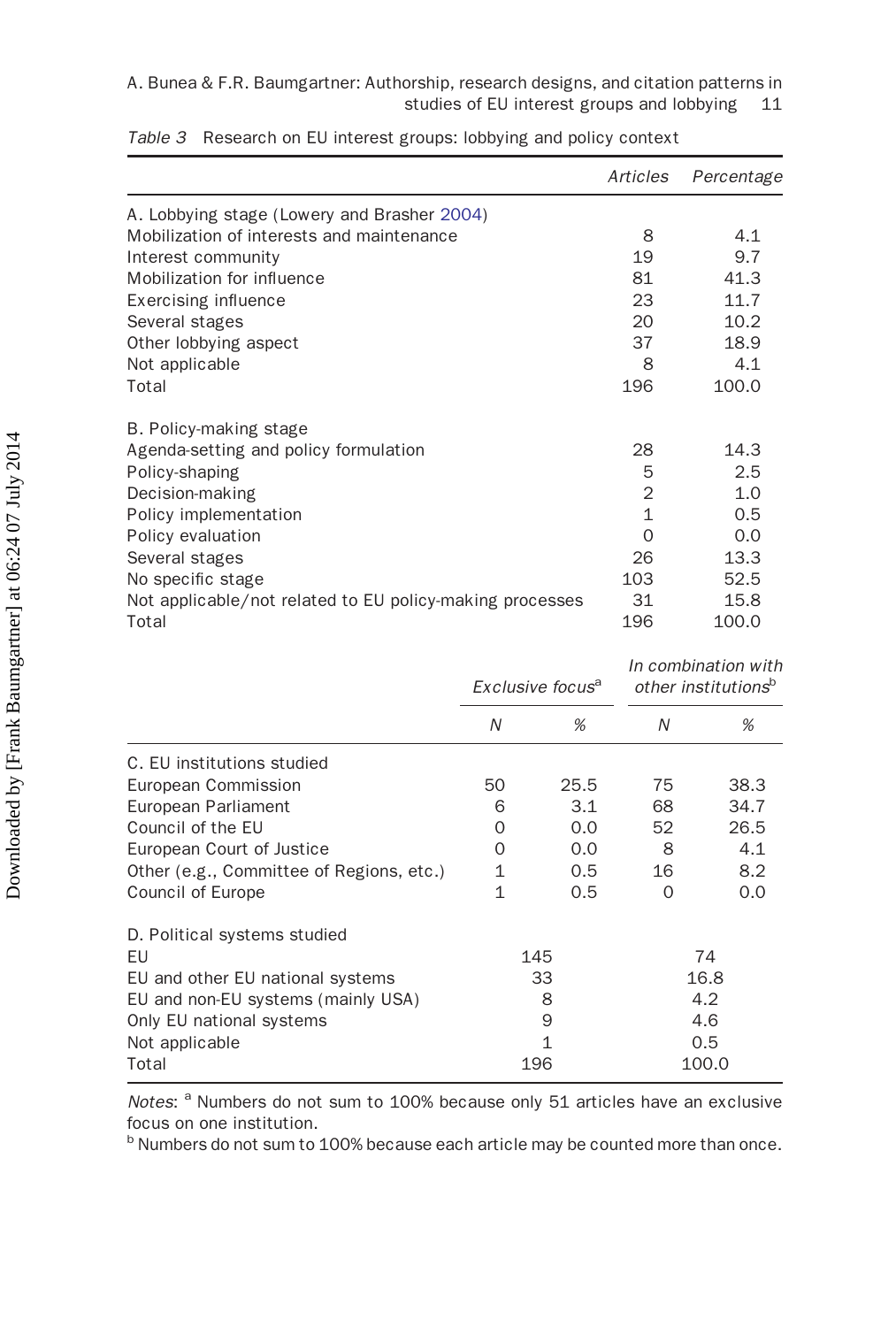<span id="page-12-0"></span>

| A. Bunea & F.R. Baumgartner: Authorship, research designs, and citation patterns in |  |  |
|-------------------------------------------------------------------------------------|--|--|
| studies of EU interest groups and lobbying 11                                       |  |  |

|                                                          | Articles       | Percentage |
|----------------------------------------------------------|----------------|------------|
| A. Lobbying stage (Lowery and Brasher 2004)              |                |            |
| Mobilization of interests and maintenance                | 8              | 4.1        |
| Interest community                                       | 19             | 9.7        |
| Mobilization for influence                               | 81             | 41.3       |
| Exercising influence                                     | 23             | 11.7       |
| Several stages                                           | 20             | 10.2       |
| Other lobbying aspect                                    | 37             | 18.9       |
| Not applicable                                           | 8              | 4.1        |
| Total                                                    | 196            | 100.0      |
| B. Policy-making stage                                   |                |            |
| Agenda-setting and policy formulation                    | 28             | 14.3       |
| Policy-shaping                                           | 5              | 2.5        |
| Decision-making                                          | $\overline{2}$ | 1.0        |
| Policy implementation                                    | $\mathbf{1}$   | 0.5        |
| Policy evaluation                                        | $\Omega$       | 0.0        |
| Several stages                                           | 26             | 13.3       |
| No specific stage                                        | 103            | 52.5       |
| Not applicable/not related to EU policy-making processes | 31             | 15.8       |
| Total                                                    | 196            | 100.0      |

| Table 3 Research on EU interest groups: lobbying and policy context |  |  |  |
|---------------------------------------------------------------------|--|--|--|
|---------------------------------------------------------------------|--|--|--|

|                                          | Exclusive focus <sup>a</sup> |      |          | In combination with<br>other institutions <sup>b</sup> |
|------------------------------------------|------------------------------|------|----------|--------------------------------------------------------|
|                                          | N                            | %    | N        | %                                                      |
| C. EU institutions studied               |                              |      |          |                                                        |
| European Commission                      | 50                           | 25.5 | 75       | 38.3                                                   |
| European Parliament                      | 6                            | 3.1  | 68       | 34.7                                                   |
| Council of the EU                        | 0                            | 0.0  | 52       | 26.5                                                   |
| European Court of Justice                | $\Omega$                     | 0.0  | 8        | 4.1                                                    |
| Other (e.g., Committee of Regions, etc.) | 1                            | 0.5  | 16       | 8.2                                                    |
| Council of Europe                        | 1                            | 0.5  | $\Omega$ | 0.0                                                    |
| D. Political systems studied             |                              |      |          |                                                        |
| EU                                       |                              | 145  |          | 74                                                     |
| EU and other EU national systems         |                              | 33   |          | 16.8                                                   |
| EU and non-EU systems (mainly USA)       |                              | 8    |          | 4.2                                                    |
| Only EU national systems                 |                              | 9    |          | 4.6                                                    |
| Not applicable                           |                              | 1    |          | 0.5                                                    |
| Total                                    |                              | 196  |          | 100.0                                                  |

Notes: <sup>a</sup> Numbers do not sum to 100% because only 51 articles have an exclusive focus on one institution.

b Numbers do not sum to 100% because each article may be counted more than once.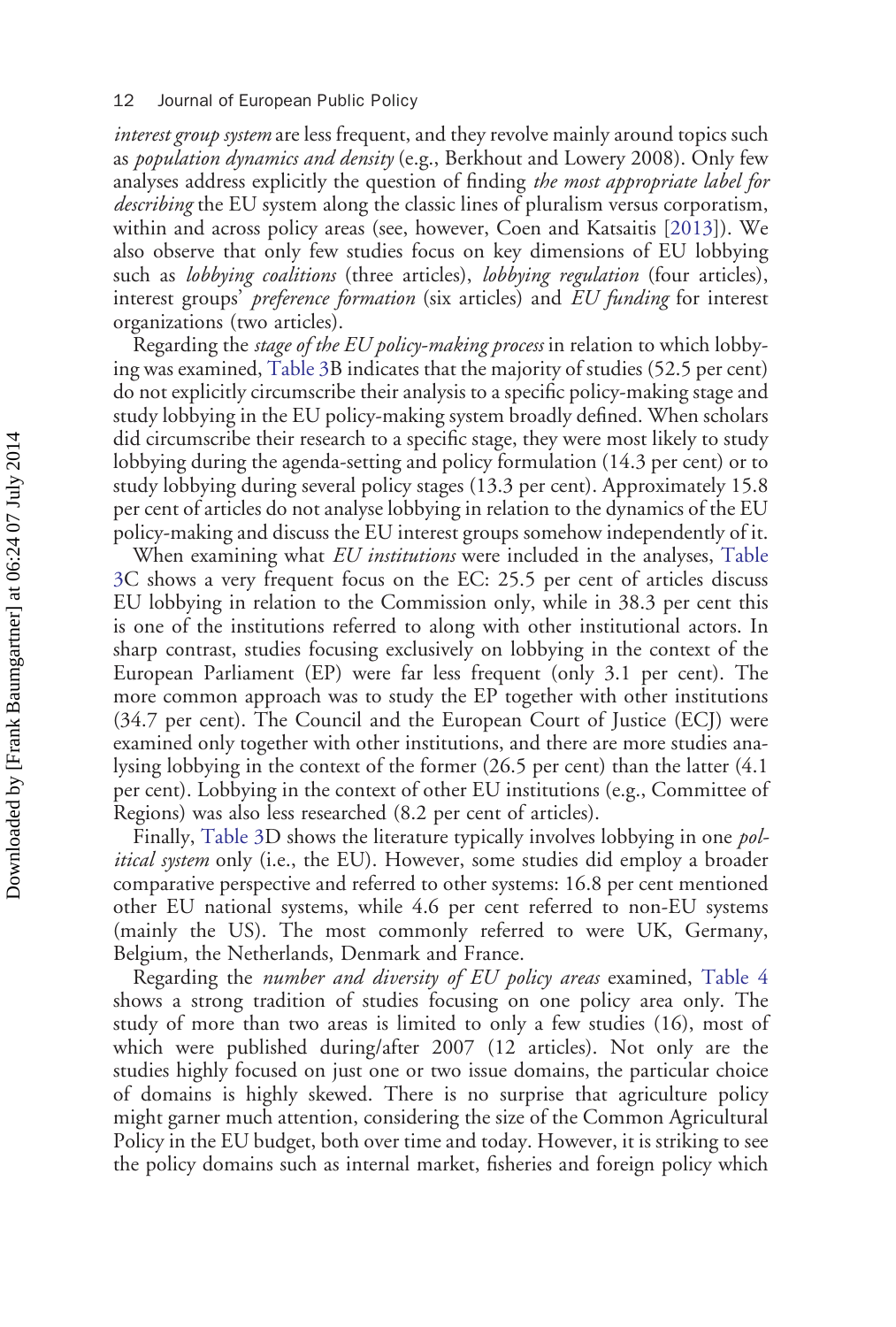#### 12 Journal of European Public Policy

interest group system are less frequent, and they revolve mainly around topics such as *population dynamics and density* (e.g., Berkhout and Lowery 2008). Only few analyses address explicitly the question of finding the most appropriate label for *describing* the EU system along the classic lines of pluralism versus corporatism, within and across policy areas (see, however, Coen and Katsaitis [[2013\]](#page-23-0)). We also observe that only few studies focus on key dimensions of EU lobbying such as *lobbying coalitions* (three articles), *lobbying regulation* (four articles), interest groups' *preference formation* (six articles) and EU funding for interest organizations (two articles).

Regarding the *stage of the EU policy-making process* in relation to which lobbying was examined, [Table 3](#page-12-0)B indicates that the majority of studies (52.5 per cent) do not explicitly circumscribe their analysis to a specific policy-making stage and study lobbying in the EU policy-making system broadly defined. When scholars did circumscribe their research to a specific stage, they were most likely to study lobbying during the agenda-setting and policy formulation (14.3 per cent) or to study lobbying during several policy stages (13.3 per cent). Approximately 15.8 per cent of articles do not analyse lobbying in relation to the dynamics of the EU policy-making and discuss the EU interest groups somehow independently of it.

When examining what *EU institutions* were included in the analyses, [Table](#page-12-0) [3](#page-12-0)C shows a very frequent focus on the EC: 25.5 per cent of articles discuss EU lobbying in relation to the Commission only, while in 38.3 per cent this is one of the institutions referred to along with other institutional actors. In sharp contrast, studies focusing exclusively on lobbying in the context of the European Parliament (EP) were far less frequent (only 3.1 per cent). The more common approach was to study the EP together with other institutions (34.7 per cent). The Council and the European Court of Justice (ECJ) were examined only together with other institutions, and there are more studies analysing lobbying in the context of the former (26.5 per cent) than the latter (4.1 per cent). Lobbying in the context of other EU institutions (e.g., Committee of Regions) was also less researched (8.2 per cent of articles).

Finally, [Table 3D](#page-12-0) shows the literature typically involves lobbying in one *political system* only (i.e., the EU). However, some studies did employ a broader comparative perspective and referred to other systems: 16.8 per cent mentioned other EU national systems, while 4.6 per cent referred to non-EU systems (mainly the US). The most commonly referred to were UK, Germany, Belgium, the Netherlands, Denmark and France.

Regarding the *number and diversity of EU policy areas* examined, [Table 4](#page-14-0) shows a strong tradition of studies focusing on one policy area only. The study of more than two areas is limited to only a few studies (16), most of which were published during/after 2007 (12 articles). Not only are the studies highly focused on just one or two issue domains, the particular choice of domains is highly skewed. There is no surprise that agriculture policy might garner much attention, considering the size of the Common Agricultural Policy in the EU budget, both over time and today. However, it is striking to see the policy domains such as internal market, fisheries and foreign policy which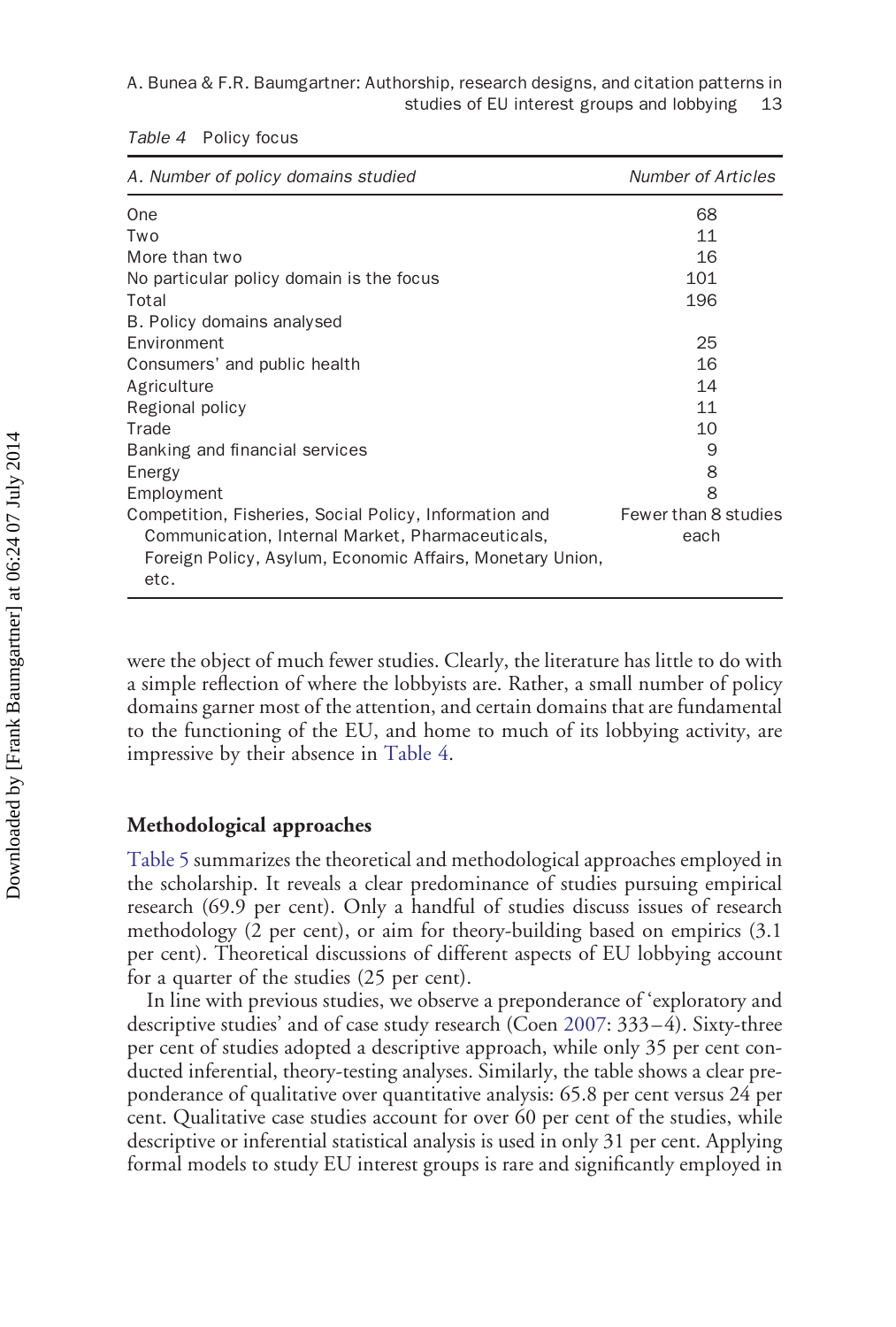<span id="page-14-0"></span>A. Bunea & F.R. Baumgartner: Authorship, research designs, and citation patterns in studies of EU interest groups and lobbying 13

| A. Number of policy domains studied                                                                                   | Number of Articles   |
|-----------------------------------------------------------------------------------------------------------------------|----------------------|
| One                                                                                                                   | 68                   |
| Two                                                                                                                   | 11                   |
| More than two                                                                                                         | 16                   |
| No particular policy domain is the focus                                                                              | 101                  |
| Total                                                                                                                 | 196                  |
| B. Policy domains analysed                                                                                            |                      |
| Environment                                                                                                           | 25                   |
| Consumers' and public health                                                                                          | 16                   |
| Agriculture                                                                                                           | 14                   |
| Regional policy                                                                                                       | 11                   |
| Trade                                                                                                                 | 10                   |
| Banking and financial services                                                                                        | 9                    |
| Energy                                                                                                                | 8                    |
| Employment                                                                                                            | 8                    |
| Competition, Fisheries, Social Policy, Information and                                                                | Fewer than 8 studies |
| Communication, Internal Market, Pharmaceuticals,<br>Foreign Policy, Asylum, Economic Affairs, Monetary Union,<br>etc. | each                 |

Table 4 Policy focus

were the object of much fewer studies. Clearly, the literature has little to do with a simple reflection of where the lobbyists are. Rather, a small number of policy domains garner most of the attention, and certain domains that are fundamental to the functioning of the EU, and home to much of its lobbying activity, are impressive by their absence in Table 4.

## Methodological approaches

[Table 5](#page-15-0) summarizes the theoretical and methodological approaches employed in the scholarship. It reveals a clear predominance of studies pursuing empirical research (69.9 per cent). Only a handful of studies discuss issues of research methodology (2 per cent), or aim for theory-building based on empirics (3.1 per cent). Theoretical discussions of different aspects of EU lobbying account for a quarter of the studies (25 per cent).

In line with previous studies, we observe a preponderance of 'exploratory and descriptive studies' and of case study research (Coen [2007:](#page-23-0) 333–4). Sixty-three per cent of studies adopted a descriptive approach, while only 35 per cent conducted inferential, theory-testing analyses. Similarly, the table shows a clear preponderance of qualitative over quantitative analysis: 65.8 per cent versus 24 per cent. Qualitative case studies account for over 60 per cent of the studies, while descriptive or inferential statistical analysis is used in only 31 per cent. Applying formal models to study EU interest groups is rare and significantly employed in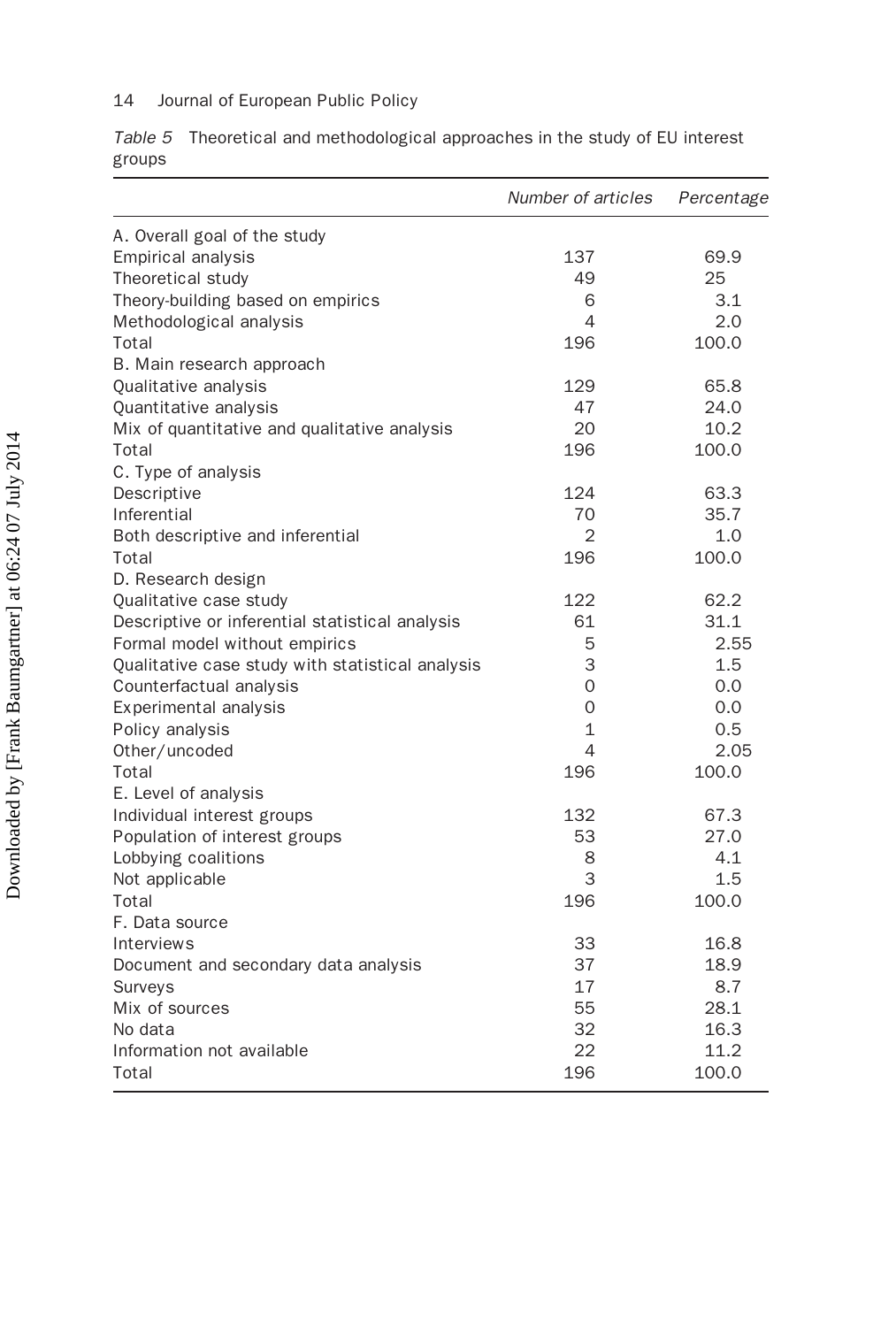# <span id="page-15-0"></span>14 Journal of European Public Policy

Table 5 Theoretical and methodological approaches in the study of EU interest groups

|                                                  | Number of articles | Percentage |
|--------------------------------------------------|--------------------|------------|
| A. Overall goal of the study                     |                    |            |
| <b>Empirical analysis</b>                        | 137                | 69.9       |
| Theoretical study                                | 49                 | 25         |
| Theory-building based on empirics                | 6                  | 3.1        |
| Methodological analysis                          | 4                  | 2.0        |
| Total                                            | 196                | 100.0      |
| B. Main research approach                        |                    |            |
| Qualitative analysis                             | 129                | 65.8       |
| Quantitative analysis                            | 47                 | 24.0       |
| Mix of quantitative and qualitative analysis     | 20                 | 10.2       |
| Total                                            | 196                | 100.0      |
| C. Type of analysis                              |                    |            |
| Descriptive                                      | 124                | 63.3       |
| Inferential                                      | 70                 | 35.7       |
| Both descriptive and inferential                 | $\overline{2}$     | 1.0        |
| Total                                            | 196                | 100.0      |
| D. Research design                               |                    |            |
| Qualitative case study                           | 122                | 62.2       |
| Descriptive or inferential statistical analysis  | 61                 | 31.1       |
| Formal model without empirics                    | 5                  | 2.55       |
| Qualitative case study with statistical analysis | 3                  | 1.5        |
| Counterfactual analysis                          | $\Omega$           | 0.0        |
| Experimental analysis                            | $\Omega$           | 0.0        |
| Policy analysis                                  | 1                  | 0.5        |
| Other/uncoded                                    | 4                  | 2.05       |
| Total                                            | 196                | 100.0      |
| E. Level of analysis                             |                    |            |
| Individual interest groups                       | 132                | 67.3       |
| Population of interest groups                    | 53                 | 27.0       |
| Lobbying coalitions                              | 8                  | 4.1        |
| Not applicable                                   | 3                  | 1.5        |
| Total                                            | 196                | 100.0      |
| F. Data source                                   |                    |            |
| <b>Interviews</b>                                | 33                 | 16.8       |
| Document and secondary data analysis             | 37                 | 18.9       |
| Surveys                                          | 17                 | 8.7        |
| Mix of sources                                   | 55                 | 28.1       |
| No data                                          | 32                 | 16.3       |
| Information not available                        | 22                 | 11.2       |
| Total                                            | 196                | 100.0      |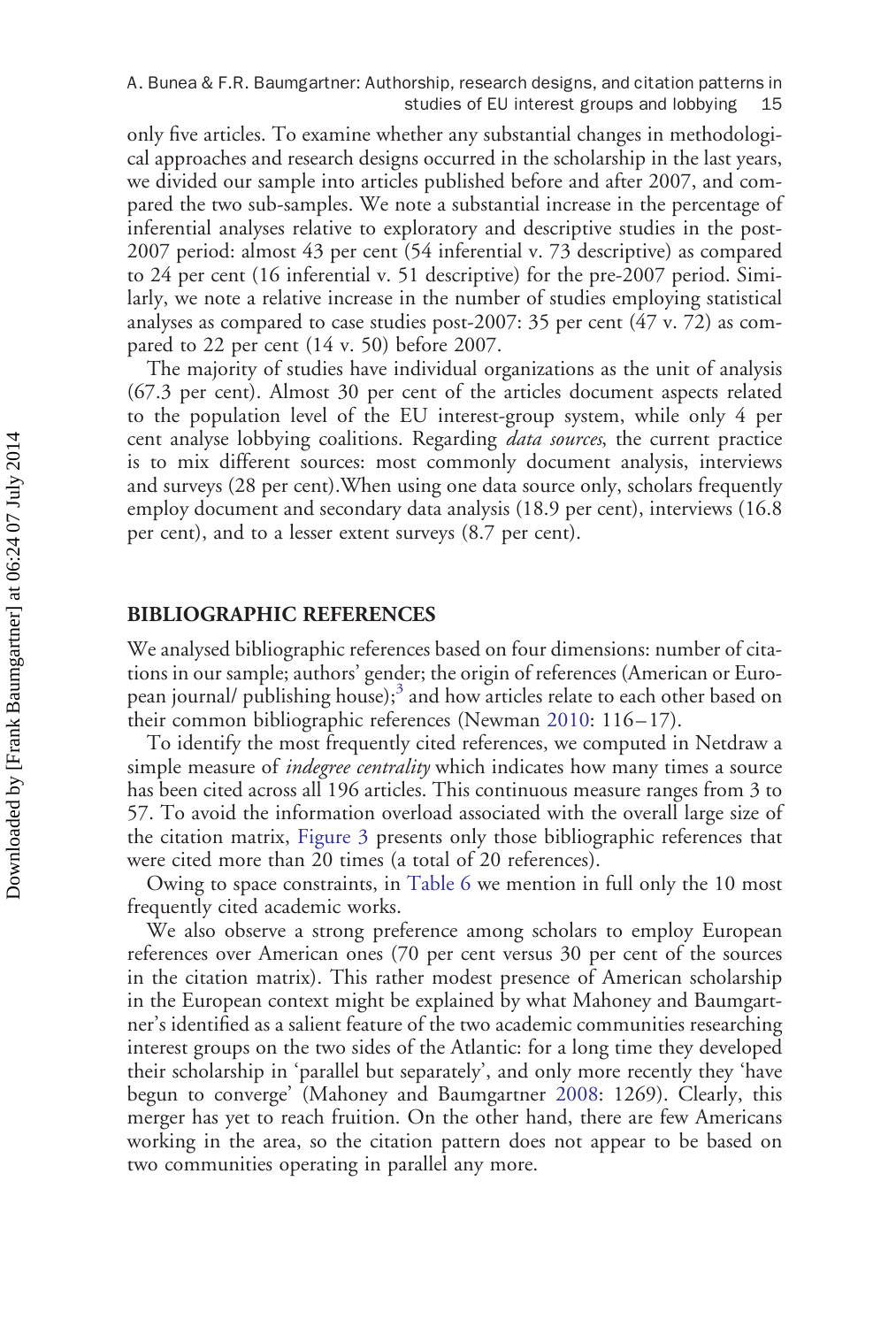only five articles. To examine whether any substantial changes in methodological approaches and research designs occurred in the scholarship in the last years, we divided our sample into articles published before and after 2007, and compared the two sub-samples. We note a substantial increase in the percentage of inferential analyses relative to exploratory and descriptive studies in the post-2007 period: almost 43 per cent (54 inferential v. 73 descriptive) as compared to 24 per cent (16 inferential v. 51 descriptive) for the pre-2007 period. Similarly, we note a relative increase in the number of studies employing statistical analyses as compared to case studies post-2007: 35 per cent (47 v. 72) as compared to 22 per cent (14 v. 50) before 2007.

The majority of studies have individual organizations as the unit of analysis (67.3 per cent). Almost 30 per cent of the articles document aspects related to the population level of the EU interest-group system, while only 4 per cent analyse lobbying coalitions. Regarding *data sources*, the current practice is to mix different sources: most commonly document analysis, interviews and surveys (28 per cent).When using one data source only, scholars frequently employ document and secondary data analysis (18.9 per cent), interviews (16.8 per cent), and to a lesser extent surveys (8.7 per cent).

# BIBLIOGRAPHIC REFERENCES

We analysed bibliographic references based on four dimensions: number of citations in our sample; authors' gender; the origin of references (American or Euro-pean journal/ publishing house);<sup>[3](#page-23-0)</sup> and how articles relate to each other based on their common bibliographic references (Newman [2010](#page-24-0): 116–17).

To identify the most frequently cited references, we computed in Netdraw a simple measure of *indegree centrality* which indicates how many times a source has been cited across all 196 articles. This continuous measure ranges from 3 to 57. To avoid the information overload associated with the overall large size of the citation matrix, [Figure 3](#page-17-0) presents only those bibliographic references that were cited more than 20 times (a total of 20 references).

Owing to space constraints, in [Table 6](#page-18-0) we mention in full only the 10 most frequently cited academic works.

We also observe a strong preference among scholars to employ European references over American ones (70 per cent versus 30 per cent of the sources in the citation matrix). This rather modest presence of American scholarship in the European context might be explained by what Mahoney and Baumgartner's identified as a salient feature of the two academic communities researching interest groups on the two sides of the Atlantic: for a long time they developed their scholarship in 'parallel but separately', and only more recently they 'have begun to converge' (Mahoney and Baumgartner [2008:](#page-24-0) 1269). Clearly, this merger has yet to reach fruition. On the other hand, there are few Americans working in the area, so the citation pattern does not appear to be based on two communities operating in parallel any more.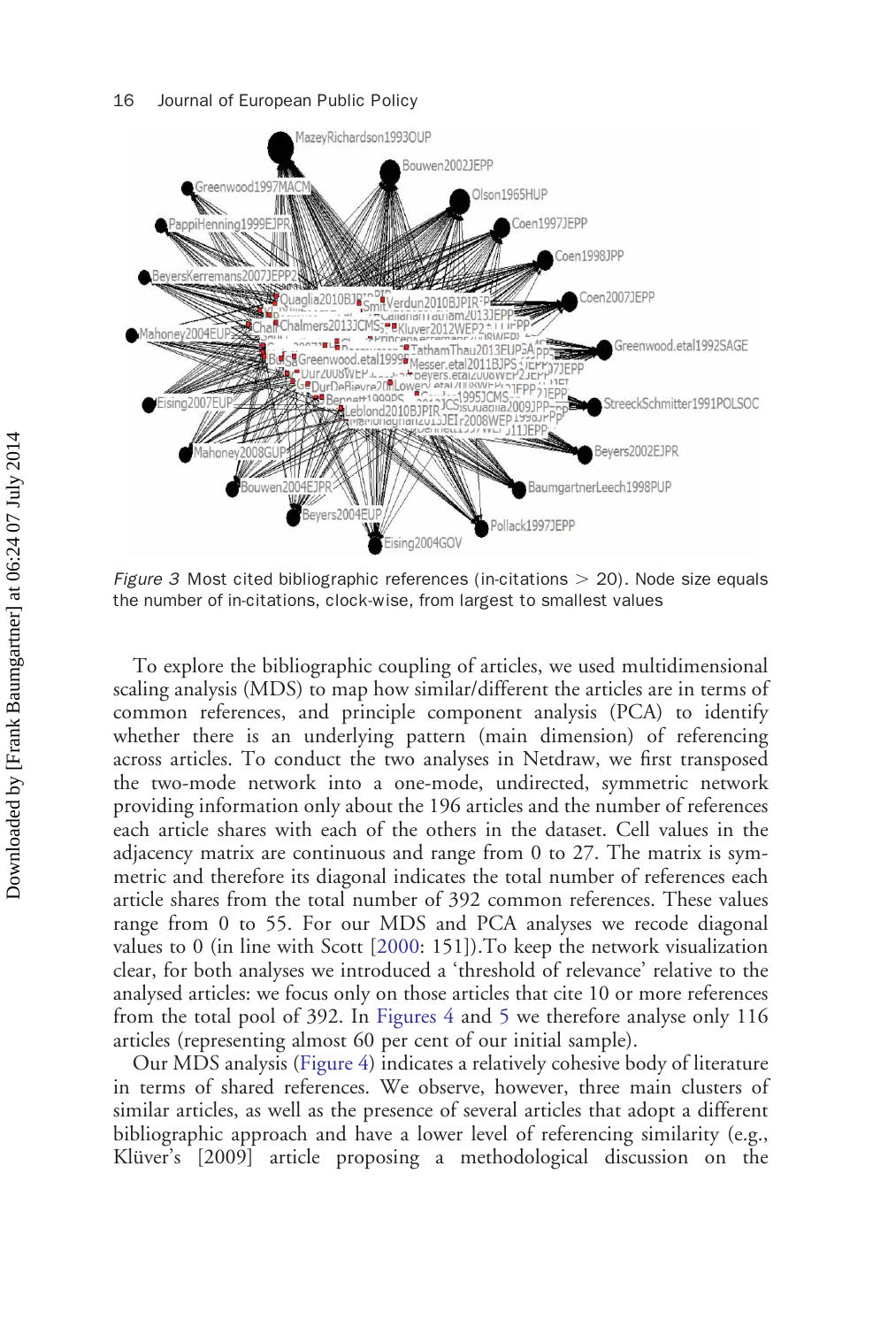<span id="page-17-0"></span>

Figure 3 Most cited bibliographic references (in-citations  $> 20$ ). Node size equals the number of in-citations, clock-wise, from largest to smallest values

To explore the bibliographic coupling of articles, we used multidimensional scaling analysis (MDS) to map how similar/different the articles are in terms of common references, and principle component analysis (PCA) to identify whether there is an underlying pattern (main dimension) of referencing across articles. To conduct the two analyses in Netdraw, we first transposed the two-mode network into a one-mode, undirected, symmetric network providing information only about the 196 articles and the number of references each article shares with each of the others in the dataset. Cell values in the adjacency matrix are continuous and range from 0 to 27. The matrix is symmetric and therefore its diagonal indicates the total number of references each article shares from the total number of 392 common references. These values range from 0 to 55. For our MDS and PCA analyses we recode diagonal values to 0 (in line with Scott [\[2000](#page-24-0): 151]).To keep the network visualization clear, for both analyses we introduced a 'threshold of relevance' relative to the analysed articles: we focus only on those articles that cite 10 or more references from the total pool of 392. In [Figures 4](#page-19-0) and [5](#page-19-0) we therefore analyse only 116 articles (representing almost 60 per cent of our initial sample).

Our MDS analysis ([Figure 4](#page-19-0)) indicates a relatively cohesive body of literature in terms of shared references. We observe, however, three main clusters of similar articles, as well as the presence of several articles that adopt a different bibliographic approach and have a lower level of referencing similarity (e.g., Klüver's [2009] article proposing a methodological discussion on the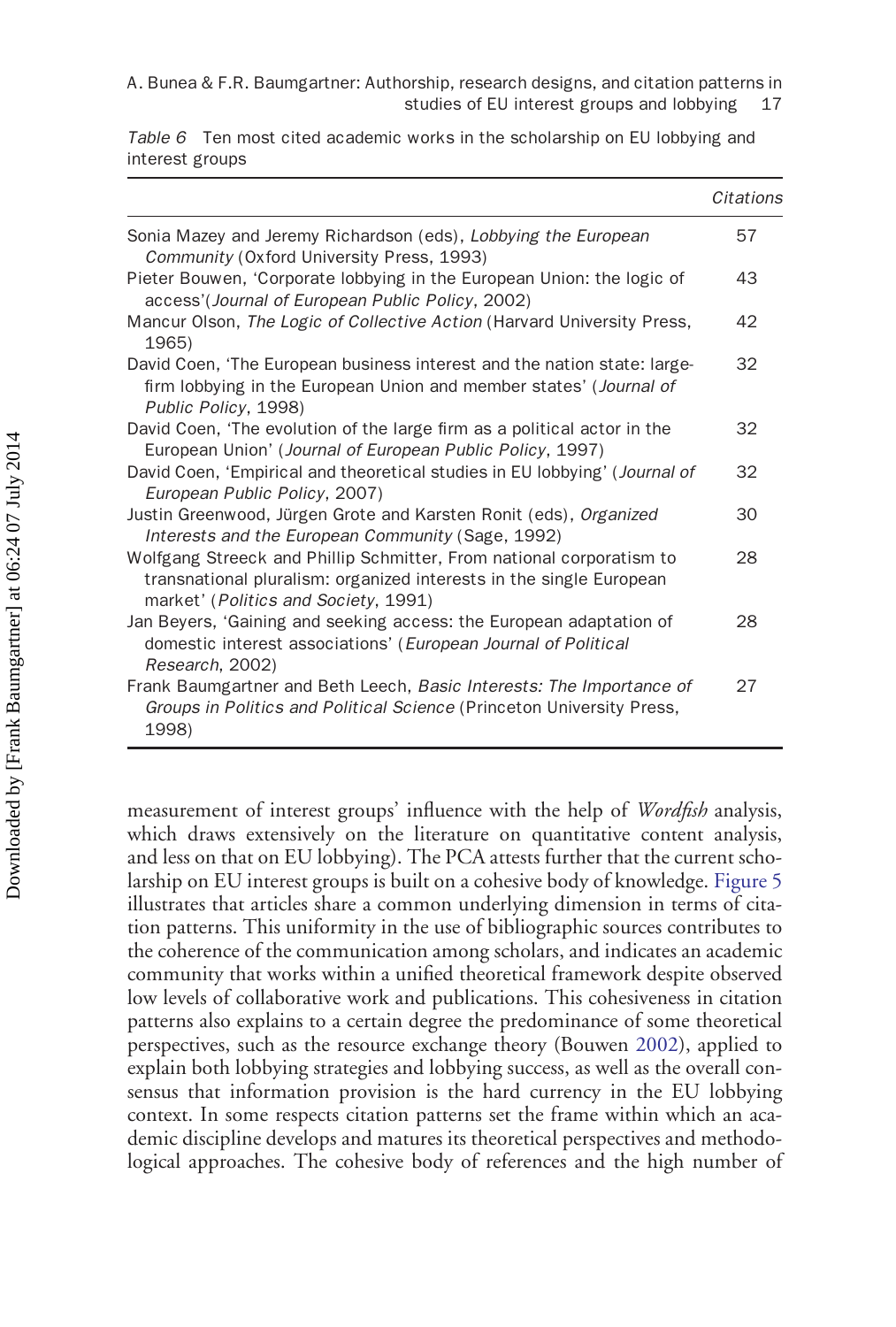<span id="page-18-0"></span>A. Bunea & F.R. Baumgartner: Authorship, research designs, and citation patterns in studies of EU interest groups and lobbying 17

|                                                                                                                                                                                     | Citations |
|-------------------------------------------------------------------------------------------------------------------------------------------------------------------------------------|-----------|
| Sonia Mazey and Jeremy Richardson (eds), Lobbying the European<br>Community (Oxford University Press, 1993)                                                                         | 57        |
| Pieter Bouwen, 'Corporate lobbying in the European Union: the logic of<br>access' (Journal of European Public Policy, 2002)                                                         | 43        |
| Mancur Olson, The Logic of Collective Action (Harvard University Press,<br>1965)                                                                                                    | 42        |
| David Coen, 'The European business interest and the nation state: large-<br>firm lobbying in the European Union and member states' (Journal of<br>Public Policy, 1998)              | 32        |
| David Coen, 'The evolution of the large firm as a political actor in the<br>European Union' (Journal of European Public Policy, 1997)                                               | 32        |
| David Coen, 'Empirical and theoretical studies in EU lobbying' (Journal of<br>European Public Policy, 2007)                                                                         | 32        |
| Justin Greenwood, Jürgen Grote and Karsten Ronit (eds), Organized<br>Interests and the European Community (Sage, 1992)                                                              | 30        |
| Wolfgang Streeck and Phillip Schmitter, From national corporatism to<br>transnational pluralism: organized interests in the single European<br>market' (Politics and Society, 1991) | 28        |
| Jan Beyers, 'Gaining and seeking access: the European adaptation of<br>domestic interest associations' (European Journal of Political<br>Research, 2002)                            | 28        |
| Frank Baumgartner and Beth Leech, Basic Interests: The Importance of<br>Groups in Politics and Political Science (Princeton University Press,<br>1998)                              | 27        |

Table 6 Ten most cited academic works in the scholarship on EU lobbying and interest groups

measurement of interest groups' influence with the help of *Wordfish* analysis, which draws extensively on the literature on quantitative content analysis, and less on that on EU lobbying). The PCA attests further that the current scholarship on EU interest groups is built on a cohesive body of knowledge. [Figure 5](#page-19-0) illustrates that articles share a common underlying dimension in terms of citation patterns. This uniformity in the use of bibliographic sources contributes to the coherence of the communication among scholars, and indicates an academic community that works within a unified theoretical framework despite observed low levels of collaborative work and publications. This cohesiveness in citation patterns also explains to a certain degree the predominance of some theoretical perspectives, such as the resource exchange theory (Bouwen [2002\)](#page-23-0), applied to explain both lobbying strategies and lobbying success, as well as the overall consensus that information provision is the hard currency in the EU lobbying context. In some respects citation patterns set the frame within which an academic discipline develops and matures its theoretical perspectives and methodological approaches. The cohesive body of references and the high number of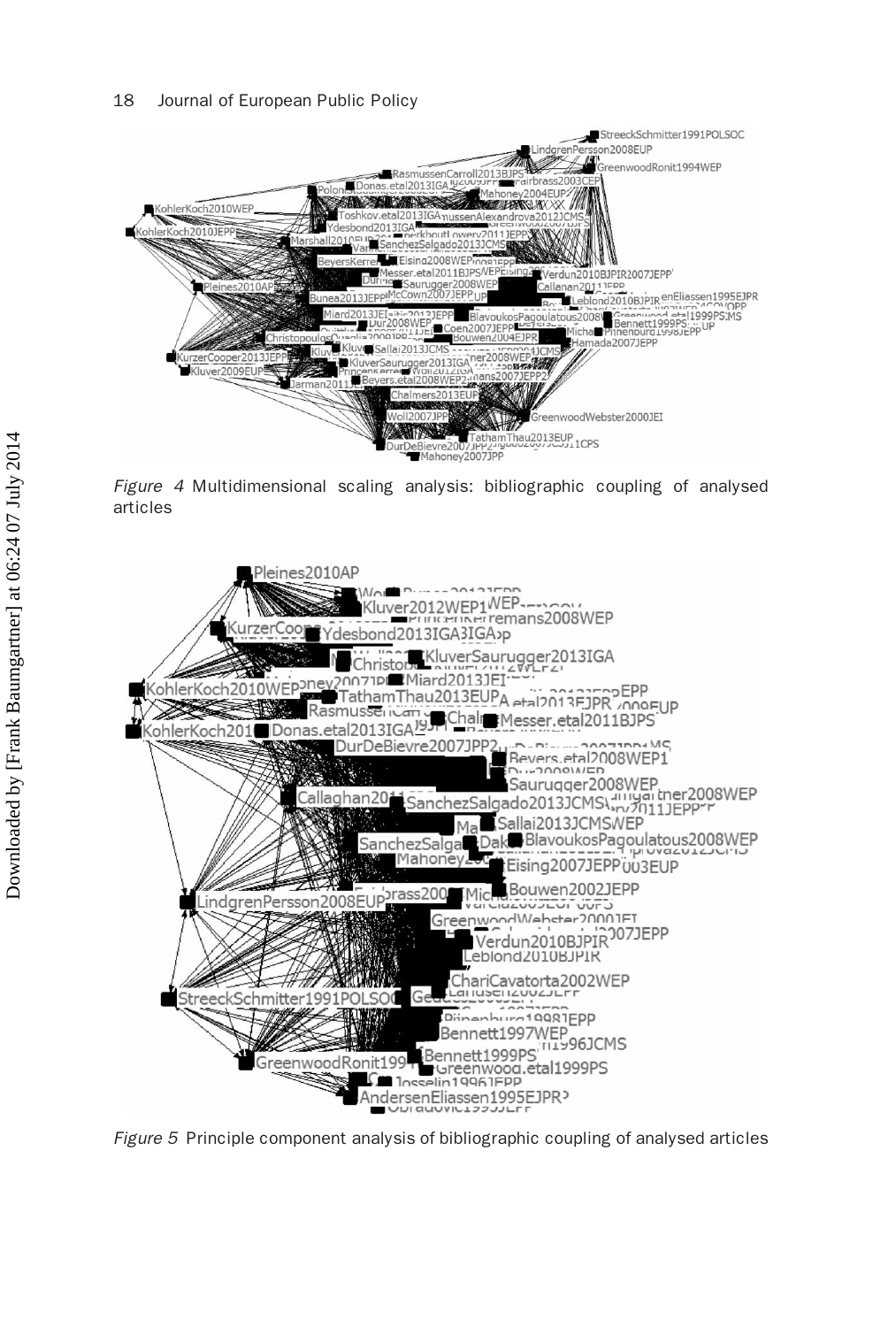## <span id="page-19-0"></span>18 Journal of European Public Policy



Figure 4 Multidimensional scaling analysis: bibliographic coupling of analysed articles



Figure 5 Principle component analysis of bibliographic coupling of analysed articles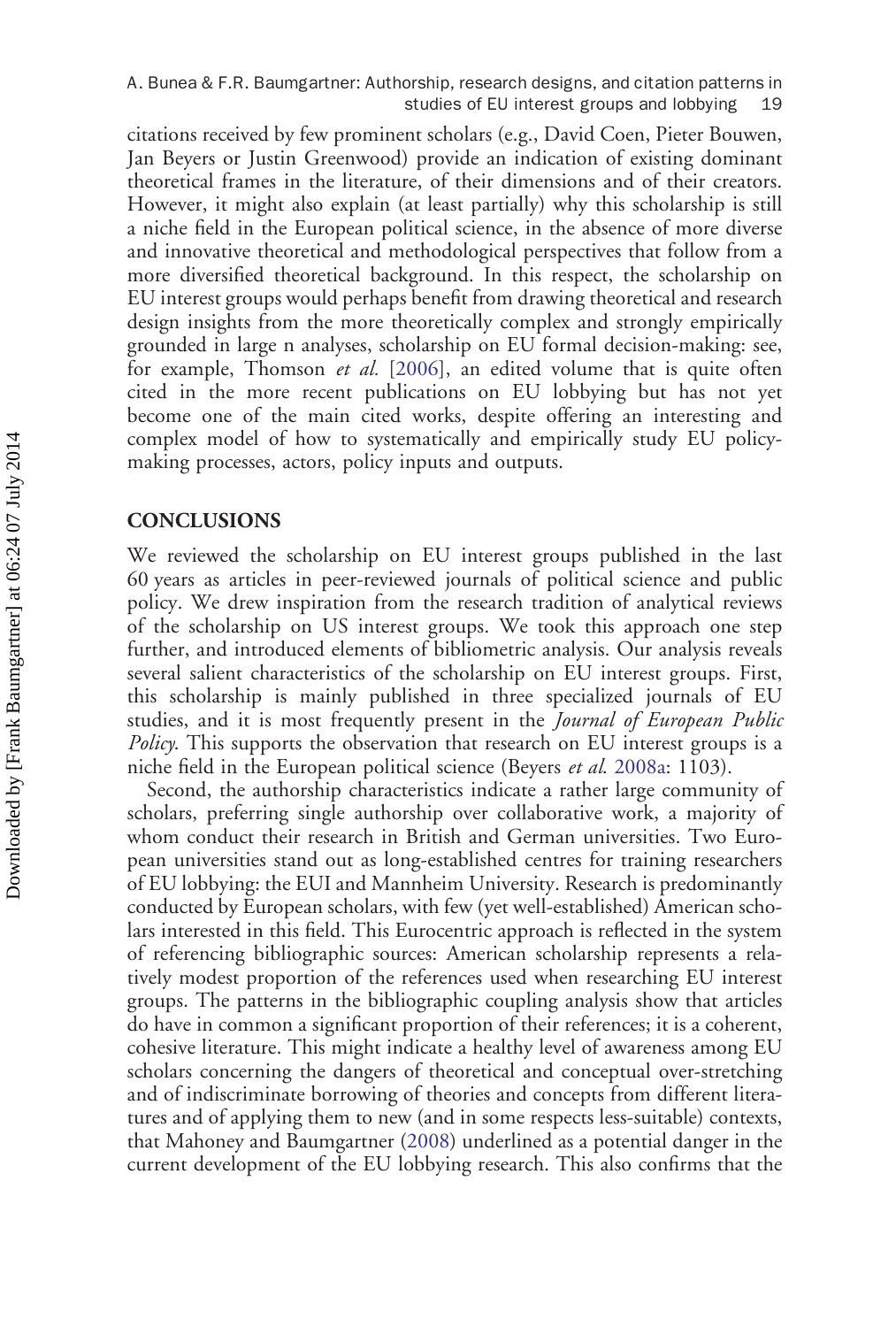citations received by few prominent scholars (e.g., David Coen, Pieter Bouwen, Jan Beyers or Justin Greenwood) provide an indication of existing dominant theoretical frames in the literature, of their dimensions and of their creators. However, it might also explain (at least partially) why this scholarship is still a niche field in the European political science, in the absence of more diverse and innovative theoretical and methodological perspectives that follow from a more diversified theoretical background. In this respect, the scholarship on EU interest groups would perhaps benefit from drawing theoretical and research design insights from the more theoretically complex and strongly empirically grounded in large n analyses, scholarship on EU formal decision-making: see, for example, Thomson et al. [[2006\]](#page-24-0), an edited volume that is quite often cited in the more recent publications on EU lobbying but has not yet become one of the main cited works, despite offering an interesting and complex model of how to systematically and empirically study EU policymaking processes, actors, policy inputs and outputs.

## **CONCLUSIONS**

We reviewed the scholarship on EU interest groups published in the last 60 years as articles in peer-reviewed journals of political science and public policy. We drew inspiration from the research tradition of analytical reviews of the scholarship on US interest groups. We took this approach one step further, and introduced elements of bibliometric analysis. Our analysis reveals several salient characteristics of the scholarship on EU interest groups. First, this scholarship is mainly published in three specialized journals of EU studies, and it is most frequently present in the *Journal of European Public* Policy. This supports the observation that research on EU interest groups is a niche field in the European political science (Beyers et al. [2008a](#page-23-0): 1103).

Second, the authorship characteristics indicate a rather large community of scholars, preferring single authorship over collaborative work, a majority of whom conduct their research in British and German universities. Two European universities stand out as long-established centres for training researchers of EU lobbying: the EUI and Mannheim University. Research is predominantly conducted by European scholars, with few (yet well-established) American scholars interested in this field. This Eurocentric approach is reflected in the system of referencing bibliographic sources: American scholarship represents a relatively modest proportion of the references used when researching EU interest groups. The patterns in the bibliographic coupling analysis show that articles do have in common a significant proportion of their references; it is a coherent, cohesive literature. This might indicate a healthy level of awareness among EU scholars concerning the dangers of theoretical and conceptual over-stretching and of indiscriminate borrowing of theories and concepts from different literatures and of applying them to new (and in some respects less-suitable) contexts, that Mahoney and Baumgartner ([2008\)](#page-24-0) underlined as a potential danger in the current development of the EU lobbying research. This also confirms that the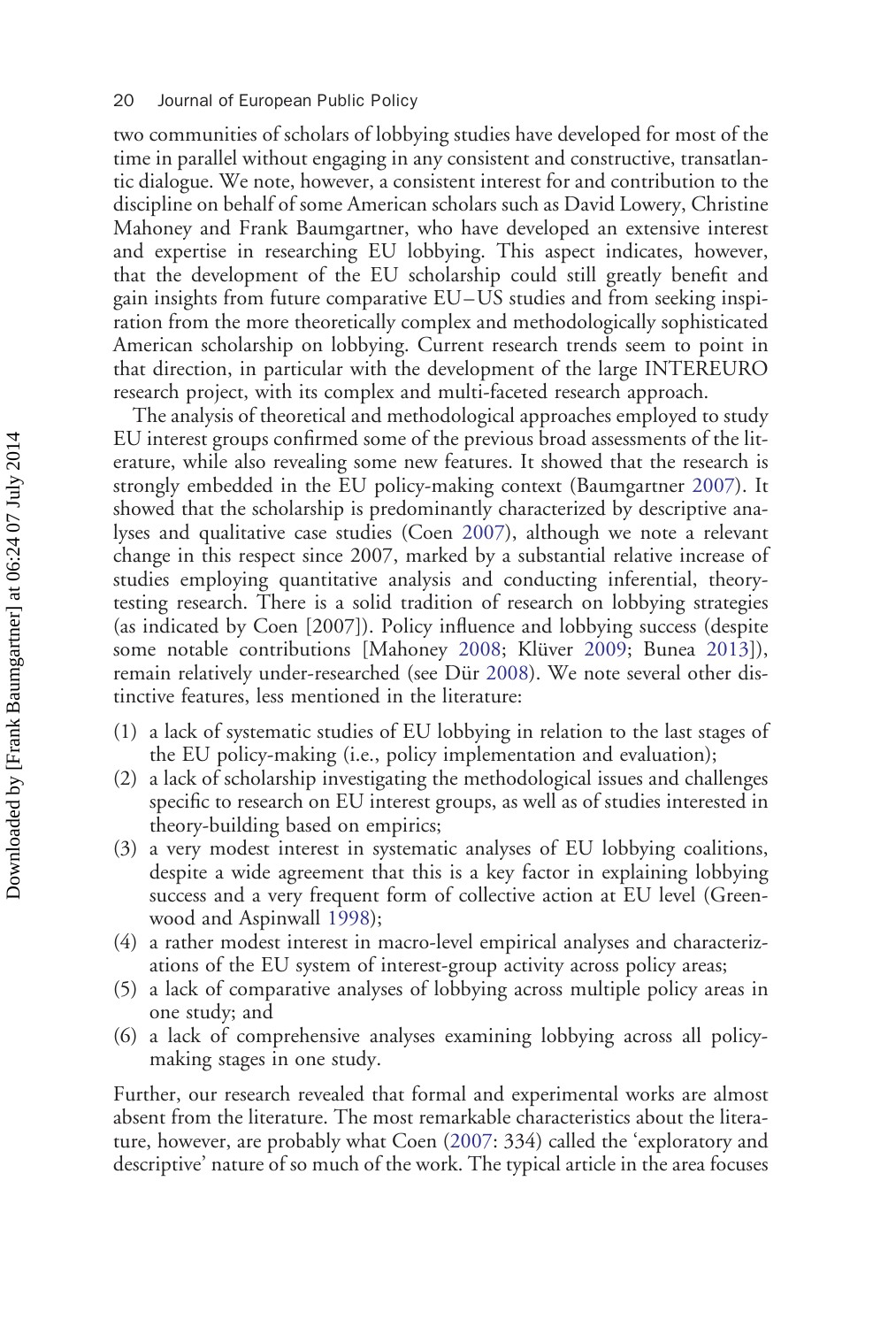two communities of scholars of lobbying studies have developed for most of the time in parallel without engaging in any consistent and constructive, transatlantic dialogue. We note, however, a consistent interest for and contribution to the discipline on behalf of some American scholars such as David Lowery, Christine Mahoney and Frank Baumgartner, who have developed an extensive interest and expertise in researching EU lobbying. This aspect indicates, however, that the development of the EU scholarship could still greatly benefit and gain insights from future comparative EU–US studies and from seeking inspiration from the more theoretically complex and methodologically sophisticated American scholarship on lobbying. Current research trends seem to point in that direction, in particular with the development of the large INTEREURO research project, with its complex and multi-faceted research approach.

The analysis of theoretical and methodological approaches employed to study EU interest groups confirmed some of the previous broad assessments of the literature, while also revealing some new features. It showed that the research is strongly embedded in the EU policy-making context (Baumgartner [2007\)](#page-23-0). It showed that the scholarship is predominantly characterized by descriptive analyses and qualitative case studies (Coen [2007\)](#page-23-0), although we note a relevant change in this respect since 2007, marked by a substantial relative increase of studies employing quantitative analysis and conducting inferential, theorytesting research. There is a solid tradition of research on lobbying strategies (as indicated by Coen [2007]). Policy influence and lobbying success (despite some notable contributions [Mahoney [2008](#page-24-0); Klüver [2009](#page-24-0); Bunea [2013](#page-23-0)]), remain relatively under-researched (see Dür [2008](#page-23-0)). We note several other distinctive features, less mentioned in the literature:

- (1) a lack of systematic studies of EU lobbying in relation to the last stages of the EU policy-making (i.e., policy implementation and evaluation);
- (2) a lack of scholarship investigating the methodological issues and challenges specific to research on EU interest groups, as well as of studies interested in theory-building based on empirics;
- (3) a very modest interest in systematic analyses of EU lobbying coalitions, despite a wide agreement that this is a key factor in explaining lobbying success and a very frequent form of collective action at EU level (Greenwood and Aspinwall [1998\)](#page-23-0);
- (4) a rather modest interest in macro-level empirical analyses and characterizations of the EU system of interest-group activity across policy areas;
- (5) a lack of comparative analyses of lobbying across multiple policy areas in one study; and
- (6) a lack of comprehensive analyses examining lobbying across all policymaking stages in one study.

Further, our research revealed that formal and experimental works are almost absent from the literature. The most remarkable characteristics about the literature, however, are probably what Coen ([2007:](#page-23-0) 334) called the 'exploratory and descriptive' nature of so much of the work. The typical article in the area focuses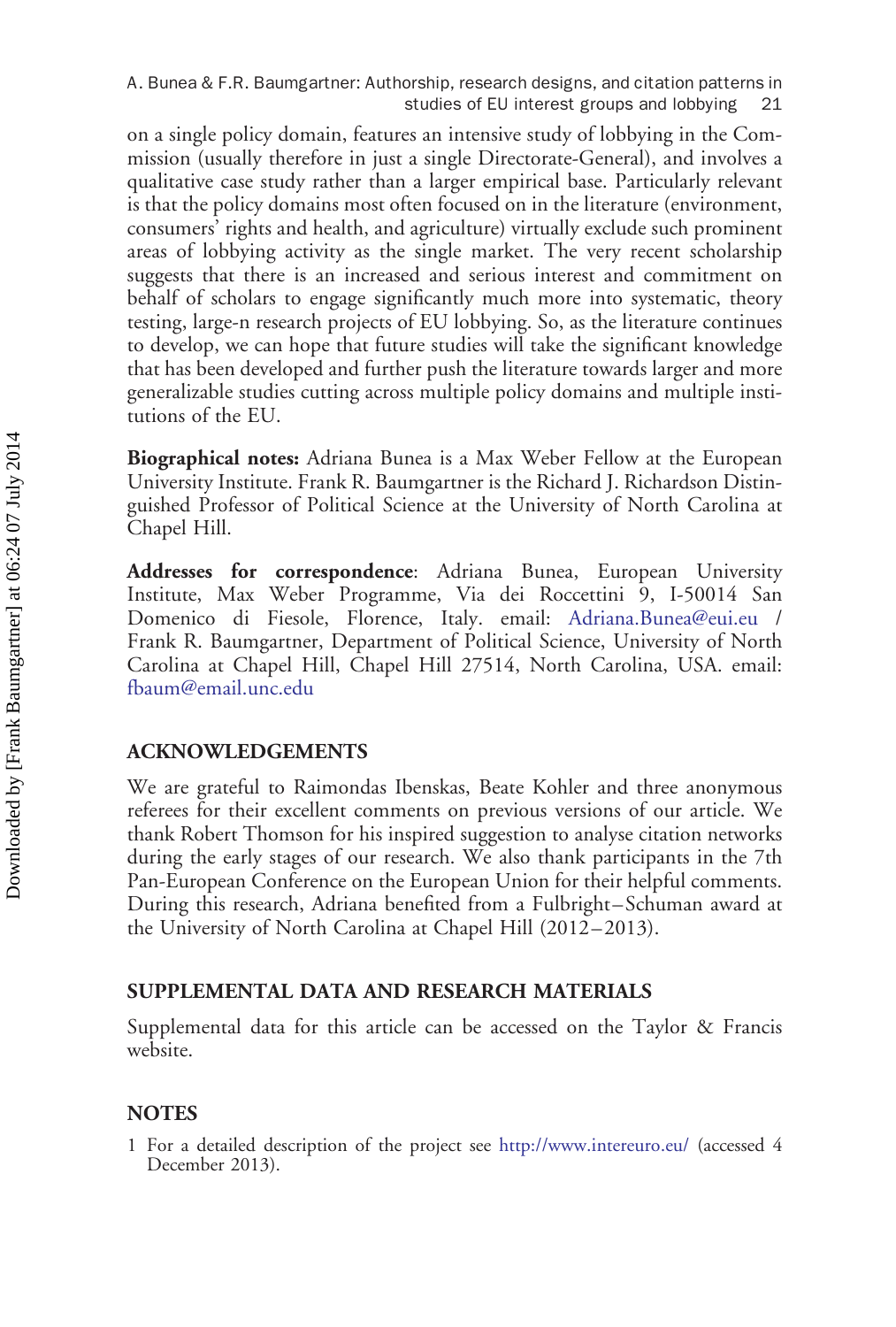<span id="page-22-0"></span>on a single policy domain, features an intensive study of lobbying in the Commission (usually therefore in just a single Directorate-General), and involves a qualitative case study rather than a larger empirical base. Particularly relevant is that the policy domains most often focused on in the literature (environment, consumers' rights and health, and agriculture) virtually exclude such prominent areas of lobbying activity as the single market. The very recent scholarship suggests that there is an increased and serious interest and commitment on behalf of scholars to engage significantly much more into systematic, theory testing, large-n research projects of EU lobbying. So, as the literature continues to develop, we can hope that future studies will take the significant knowledge that has been developed and further push the literature towards larger and more generalizable studies cutting across multiple policy domains and multiple institutions of the EU.

Biographical notes: Adriana Bunea is a Max Weber Fellow at the European University Institute. Frank R. Baumgartner is the Richard J. Richardson Distinguished Professor of Political Science at the University of North Carolina at Chapel Hill.

Addresses for correspondence: Adriana Bunea, European University Institute, Max Weber Programme, Via dei Roccettini 9, I-50014 San Domenico di Fiesole, Florence, Italy. email: [Adriana.Bunea@eui.eu](mailto:Adriana.Bunea@eui.eu) / Frank R. Baumgartner, Department of Political Science, University of North Carolina at Chapel Hill, Chapel Hill 27514, North Carolina, USA. email: [fbaum@email.unc.edu](mailto:fbaum@email.unc.edu)

# ACKNOWLEDGEMENTS

We are grateful to Raimondas Ibenskas, Beate Kohler and three anonymous referees for their excellent comments on previous versions of our article. We thank Robert Thomson for his inspired suggestion to analyse citation networks during the early stages of our research. We also thank participants in the 7th Pan-European Conference on the European Union for their helpful comments. During this research, Adriana benefited from a Fulbright–Schuman award at the University of North Carolina at Chapel Hill (2012 –2013).

# SUPPLEMENTAL DATA AND RESEARCH MATERIALS

Supplemental data for this article can be accessed on the Taylor & Francis website.

# NOTES

1 For a detailed description of the project see <http://www.intereuro.eu/> (accessed 4 December 2013).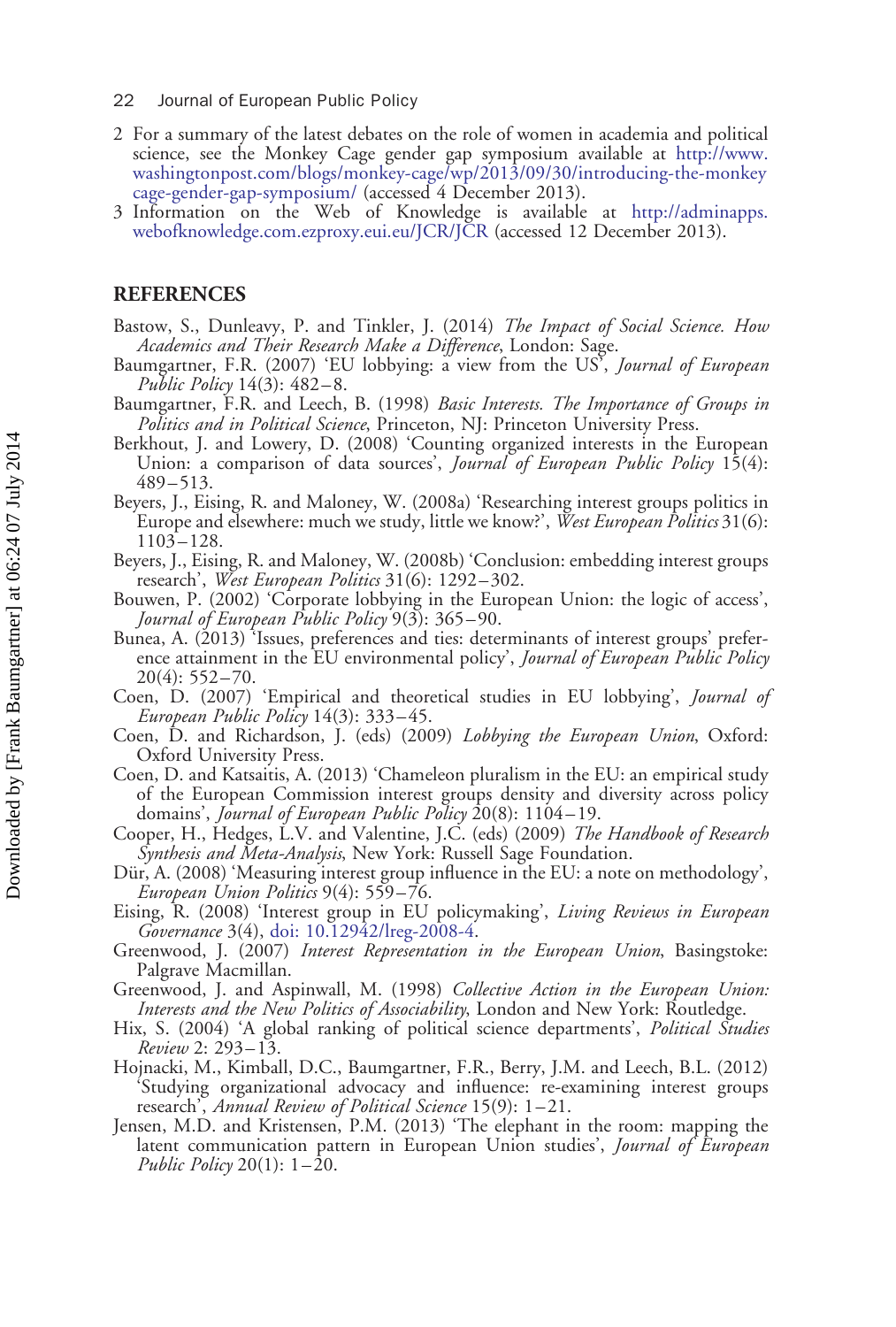- <span id="page-23-0"></span>22 Journal of European Public Policy
- 2 For a summary of the latest debates on the role of women in academia and political science, see the Monkey Cage gender gap symposium available at [http://www.](http://www.washingtonpost.com/blogs/monkey-cage/wp/2013/09/30/introducing-the-monkeycage-gender-gap-symposium/) [washingtonpost.com/blogs/monkey-cage/wp/2013/09/30/introducing-the-monkey](http://www.washingtonpost.com/blogs/monkey-cage/wp/2013/09/30/introducing-the-monkeycage-gender-gap-symposium/) [cage-gender-gap-symposium/](http://www.washingtonpost.com/blogs/monkey-cage/wp/2013/09/30/introducing-the-monkeycage-gender-gap-symposium/) (accessed 4 December 2013).
- 3 Information on the Web of Knowledge is available at [http://adminapps.](http://adminapps.webofknowledge.com.ezproxy.eui.eu/JCR/JCR) [webofknowledge.com.ezproxy.eui.eu/JCR/JCR](http://adminapps.webofknowledge.com.ezproxy.eui.eu/JCR/JCR) (accessed 12 December 2013).

## **REFERENCES**

- Bastow, S., Dunleavy, P. and Tinkler, J. (2014) The Impact of Social Science. How Academics and Their Research Make a Difference, London: Sage.
- Baumgartner, F.R. (2007) 'EU lobbying: a view from the US', Journal of European Public Policy  $14(3)$ :  $482-8$ .
- Baumgartner, F.R. and Leech, B. (1998) Basic Interests. The Importance of Groups in Politics and in Political Science, Princeton, NJ: Princeton University Press.
- Berkhout, J. and Lowery, D. (2008) 'Counting organized interests in the European Union: a comparison of data sources', *Journal of European Public Policy* 15(4):  $489 - 513.$
- Beyers, J., Eising, R. and Maloney, W. (2008a) 'Researching interest groups politics in Europe and elsewhere: much we study, little we know?', West European Politics 31(6): 1103 – 128.
- Beyers, J., Eising, R. and Maloney, W. (2008b) 'Conclusion: embedding interest groups research', West European Politics 31(6): 1292-302.
- Bouwen, P. (2002) 'Corporate lobbying in the European Union: the logic of access', Journal of European Public Policy 9(3): 365 – 90.
- Bunea, A. (2013) 'Issues, preferences and ties: determinants of interest groups' preference attainment in the EU environmental policy', Journal of European Public Policy 20(4): 552– 70.
- Coen, D. (2007) 'Empirical and theoretical studies in EU lobbying', Journal of European Public Policy 14(3): 333 – 45.
- Coen, D. and Richardson, J. (eds) (2009) Lobbying the European Union, Oxford: Oxford University Press.
- Coen, D. and Katsaitis, A. (2013) 'Chameleon pluralism in the EU: an empirical study of the European Commission interest groups density and diversity across policy domains', *Journal of European Public Policy* 20(8): 1104–19.
- Cooper, H., Hedges, L.V. and Valentine, J.C. (eds) (2009) The Handbook of Research Synthesis and Meta-Analysis, New York: Russell Sage Foundation.
- Dür, A. (2008) 'Measuring interest group influence in the EU: a note on methodology', European Union Politics 9(4): 559 – 76.
- Eising, R. (2008) 'Interest group in EU policymaking', *Living Reviews in European* Governance 3(4), doi: 10.12942/lreg-2008-4.
- Greenwood, J. (2007) Interest Representation in the European Union, Basingstoke: Palgrave Macmillan.
- Greenwood, J. and Aspinwall, M. (1998) Collective Action in the European Union: Interests and the New Politics of Associability, London and New York: Routledge.
- Hix, S. (2004) 'A global ranking of political science departments', Political Studies Review 2: 293– 13.
- Hojnacki, M., Kimball, D.C., Baumgartner, F.R., Berry, J.M. and Leech, B.L. (2012) 'Studying organizational advocacy and influence: re-examining interest groups research', Annual Review of Political Science 15(9): 1 – 21.
- Jensen, M.D. and Kristensen, P.M. (2013) 'The elephant in the room: mapping the latent communication pattern in European Union studies', Journal of European Public Policy 20(1):  $1-\overline{2}0$ .